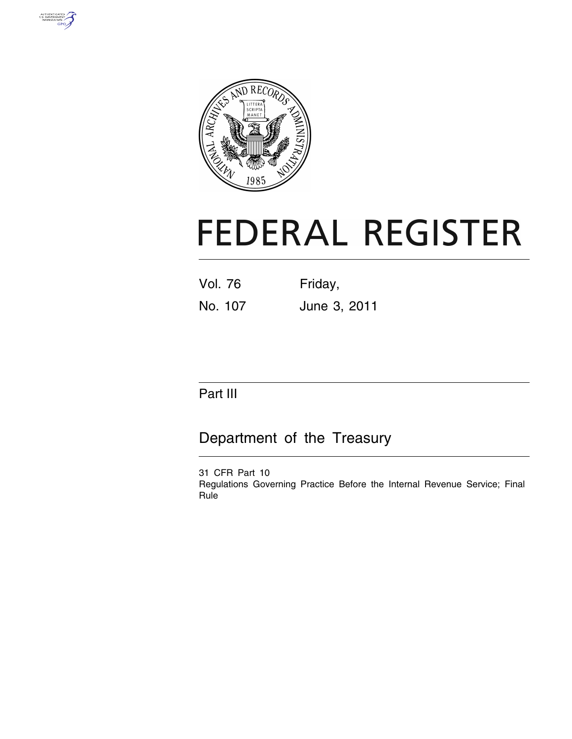



# **FEDERAL REGISTER**

| Vol. 76 | Friday,      |
|---------|--------------|
| No. 107 | June 3, 2011 |

# Part III

# Department of the Treasury

31 CFR Part 10 Regulations Governing Practice Before the Internal Revenue Service; Final Rule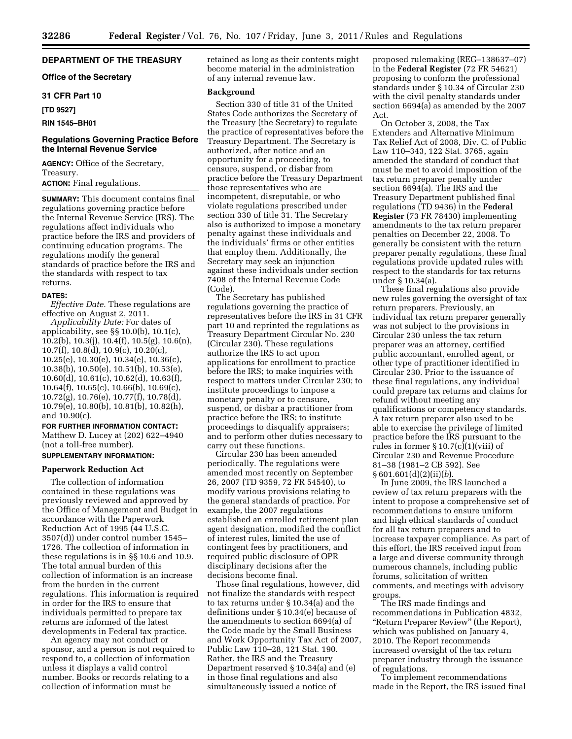# **DEPARTMENT OF THE TREASURY**

# **Office of the Secretary**

# **31 CFR Part 10**

**[TD 9527]** 

# **RIN 1545–BH01**

# **Regulations Governing Practice Before the Internal Revenue Service**

**AGENCY:** Office of the Secretary, Treasury.

**ACTION:** Final regulations.

**SUMMARY:** This document contains final regulations governing practice before the Internal Revenue Service (IRS). The regulations affect individuals who practice before the IRS and providers of continuing education programs. The regulations modify the general standards of practice before the IRS and the standards with respect to tax returns.

#### **DATES:**

*Effective Date.* These regulations are effective on August 2, 2011.

*Applicability Date:* For dates of applicability, see §§ 10.0(b), 10.1(c),  $10.2(b)$ ,  $10.3(j)$ ,  $10.4(f)$ ,  $10.5(g)$ ,  $10.6(n)$ , 10.7(f), 10.8(d), 10.9(c), 10.20(c), 10.25(e), 10.30(e), 10.34(e), 10.36(c), 10.38(b), 10.50(e), 10.51(b), 10.53(e), 10.60(d), 10.61(c), 10.62(d), 10.63(f), 10.64(f), 10.65(c), 10.66(b), 10.69(c), 10.72(g), 10.76(e), 10.77(f), 10.78(d), 10.79(e), 10.80(b), 10.81(b), 10.82(h), and 10.90(c).

# **FOR FURTHER INFORMATION CONTACT:**

Matthew D. Lucey at (202) 622–4940 (not a toll-free number).

# **SUPPLEMENTARY INFORMATION:**

#### **Paperwork Reduction Act**

The collection of information contained in these regulations was previously reviewed and approved by the Office of Management and Budget in accordance with the Paperwork Reduction Act of 1995 (44 U.S.C. 3507(d)) under control number 1545– 1726. The collection of information in these regulations is in §§ 10.6 and 10.9. The total annual burden of this collection of information is an increase from the burden in the current regulations. This information is required in order for the IRS to ensure that individuals permitted to prepare tax returns are informed of the latest developments in Federal tax practice.

An agency may not conduct or sponsor, and a person is not required to respond to, a collection of information unless it displays a valid control number. Books or records relating to a collection of information must be

retained as long as their contents might become material in the administration of any internal revenue law.

#### **Background**

Section 330 of title 31 of the United States Code authorizes the Secretary of the Treasury (the Secretary) to regulate the practice of representatives before the Treasury Department. The Secretary is authorized, after notice and an opportunity for a proceeding, to censure, suspend, or disbar from practice before the Treasury Department those representatives who are incompetent, disreputable, or who violate regulations prescribed under section 330 of title 31. The Secretary also is authorized to impose a monetary penalty against these individuals and the individuals' firms or other entities that employ them. Additionally, the Secretary may seek an injunction against these individuals under section 7408 of the Internal Revenue Code (Code).

The Secretary has published regulations governing the practice of representatives before the IRS in 31 CFR part 10 and reprinted the regulations as Treasury Department Circular No. 230 (Circular 230). These regulations authorize the IRS to act upon applications for enrollment to practice before the IRS; to make inquiries with respect to matters under Circular 230; to institute proceedings to impose a monetary penalty or to censure, suspend, or disbar a practitioner from practice before the IRS; to institute proceedings to disqualify appraisers; and to perform other duties necessary to carry out these functions.

Circular 230 has been amended periodically. The regulations were amended most recently on September 26, 2007 (TD 9359, 72 FR 54540), to modify various provisions relating to the general standards of practice. For example, the 2007 regulations established an enrolled retirement plan agent designation, modified the conflict of interest rules, limited the use of contingent fees by practitioners, and required public disclosure of OPR disciplinary decisions after the decisions become final.

Those final regulations, however, did not finalize the standards with respect to tax returns under § 10.34(a) and the definitions under § 10.34(e) because of the amendments to section 6694(a) of the Code made by the Small Business and Work Opportunity Tax Act of 2007, Public Law 110–28, 121 Stat. 190. Rather, the IRS and the Treasury Department reserved § 10.34(a) and (e) in those final regulations and also simultaneously issued a notice of

proposed rulemaking (REG–138637–07) in the **Federal Register** (72 FR 54621) proposing to conform the professional standards under § 10.34 of Circular 230 with the civil penalty standards under section 6694(a) as amended by the 2007 Act.

On October 3, 2008, the Tax Extenders and Alternative Minimum Tax Relief Act of 2008, Div. C. of Public Law 110–343, 122 Stat. 3765, again amended the standard of conduct that must be met to avoid imposition of the tax return preparer penalty under section 6694(a). The IRS and the Treasury Department published final regulations (TD 9436) in the **Federal Register** (73 FR 78430) implementing amendments to the tax return preparer penalties on December 22, 2008. To generally be consistent with the return preparer penalty regulations, these final regulations provide updated rules with respect to the standards for tax returns under § 10.34(a).

These final regulations also provide new rules governing the oversight of tax return preparers. Previously, an individual tax return preparer generally was not subject to the provisions in Circular 230 unless the tax return preparer was an attorney, certified public accountant, enrolled agent, or other type of practitioner identified in Circular 230. Prior to the issuance of these final regulations, any individual could prepare tax returns and claims for refund without meeting any qualifications or competency standards. A tax return preparer also used to be able to exercise the privilege of limited practice before the IRS pursuant to the rules in former §  $10.7(c)(1)(viii)$  of Circular 230 and Revenue Procedure 81–38 (1981–2 CB 592). See § 601.601(d)(2)(ii)(*b*).

In June 2009, the IRS launched a review of tax return preparers with the intent to propose a comprehensive set of recommendations to ensure uniform and high ethical standards of conduct for all tax return preparers and to increase taxpayer compliance. As part of this effort, the IRS received input from a large and diverse community through numerous channels, including public forums, solicitation of written comments, and meetings with advisory groups.

The IRS made findings and recommendations in Publication 4832, ''Return Preparer Review'' (the Report), which was published on January 4, 2010. The Report recommends increased oversight of the tax return preparer industry through the issuance of regulations.

To implement recommendations made in the Report, the IRS issued final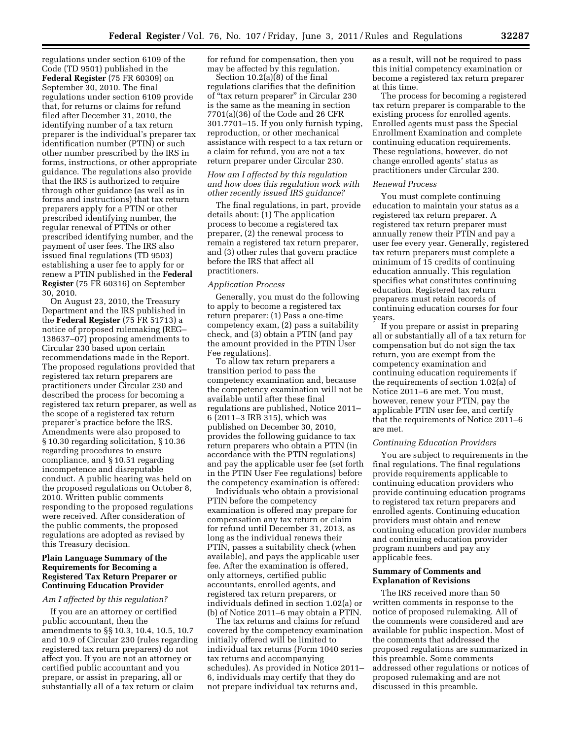regulations under section 6109 of the Code (TD 9501) published in the **Federal Register** (75 FR 60309) on September 30, 2010. The final regulations under section 6109 provide that, for returns or claims for refund filed after December 31, 2010, the identifying number of a tax return preparer is the individual's preparer tax identification number (PTIN) or such other number prescribed by the IRS in forms, instructions, or other appropriate guidance. The regulations also provide that the IRS is authorized to require through other guidance (as well as in forms and instructions) that tax return preparers apply for a PTIN or other prescribed identifying number, the regular renewal of PTINs or other prescribed identifying number, and the payment of user fees. The IRS also issued final regulations (TD 9503) establishing a user fee to apply for or renew a PTIN published in the **Federal Register** (75 FR 60316) on September 30, 2010.

On August 23, 2010, the Treasury Department and the IRS published in the **Federal Register** (75 FR 51713) a notice of proposed rulemaking (REG– 138637–07) proposing amendments to Circular 230 based upon certain recommendations made in the Report. The proposed regulations provided that registered tax return preparers are practitioners under Circular 230 and described the process for becoming a registered tax return preparer, as well as the scope of a registered tax return preparer's practice before the IRS. Amendments were also proposed to § 10.30 regarding solicitation, § 10.36 regarding procedures to ensure compliance, and § 10.51 regarding incompetence and disreputable conduct. A public hearing was held on the proposed regulations on October 8, 2010. Written public comments responding to the proposed regulations were received. After consideration of the public comments, the proposed regulations are adopted as revised by this Treasury decision.

# **Plain Language Summary of the Requirements for Becoming a Registered Tax Return Preparer or Continuing Education Provider**

#### *Am I affected by this regulation?*

If you are an attorney or certified public accountant, then the amendments to §§ 10.3, 10.4, 10.5, 10.7 and 10.9 of Circular 230 (rules regarding registered tax return preparers) do not affect you. If you are not an attorney or certified public accountant and you prepare, or assist in preparing, all or substantially all of a tax return or claim

for refund for compensation, then you may be affected by this regulation.

Section 10.2(a)(8) of the final regulations clarifies that the definition of ''tax return preparer'' in Circular 230 is the same as the meaning in section 7701(a)(36) of the Code and 26 CFR 301.7701–15. If you only furnish typing, reproduction, or other mechanical assistance with respect to a tax return or a claim for refund, you are not a tax return preparer under Circular 230.

# *How am I affected by this regulation and how does this regulation work with other recently issued IRS guidance?*

The final regulations, in part, provide details about: (1) The application process to become a registered tax preparer, (2) the renewal process to remain a registered tax return preparer, and (3) other rules that govern practice before the IRS that affect all practitioners.

#### *Application Process*

Generally, you must do the following to apply to become a registered tax return preparer: (1) Pass a one-time competency exam, (2) pass a suitability check, and (3) obtain a PTIN (and pay the amount provided in the PTIN User Fee regulations).

To allow tax return preparers a transition period to pass the competency examination and, because the competency examination will not be available until after these final regulations are published, Notice 2011– 6 (2011–3 IRB 315), which was published on December 30, 2010, provides the following guidance to tax return preparers who obtain a PTIN (in accordance with the PTIN regulations) and pay the applicable user fee (set forth in the PTIN User Fee regulations) before the competency examination is offered:

Individuals who obtain a provisional PTIN before the competency examination is offered may prepare for compensation any tax return or claim for refund until December 31, 2013, as long as the individual renews their PTIN, passes a suitability check (when available), and pays the applicable user fee. After the examination is offered, only attorneys, certified public accountants, enrolled agents, and registered tax return preparers, or individuals defined in section 1.02(a) or (b) of Notice 2011–6 may obtain a PTIN.

The tax returns and claims for refund covered by the competency examination initially offered will be limited to individual tax returns (Form 1040 series tax returns and accompanying schedules). As provided in Notice 2011– 6, individuals may certify that they do not prepare individual tax returns and,

as a result, will not be required to pass this initial competency examination or become a registered tax return preparer at this time.

The process for becoming a registered tax return preparer is comparable to the existing process for enrolled agents. Enrolled agents must pass the Special Enrollment Examination and complete continuing education requirements. These regulations, however, do not change enrolled agents' status as practitioners under Circular 230.

#### *Renewal Process*

You must complete continuing education to maintain your status as a registered tax return preparer. A registered tax return preparer must annually renew their PTIN and pay a user fee every year. Generally, registered tax return preparers must complete a minimum of 15 credits of continuing education annually. This regulation specifies what constitutes continuing education. Registered tax return preparers must retain records of continuing education courses for four years.

If you prepare or assist in preparing all or substantially all of a tax return for compensation but do not sign the tax return, you are exempt from the competency examination and continuing education requirements if the requirements of section 1.02(a) of Notice 2011–6 are met. You must, however, renew your PTIN, pay the applicable PTIN user fee, and certify that the requirements of Notice 2011–6 are met.

## *Continuing Education Providers*

You are subject to requirements in the final regulations. The final regulations provide requirements applicable to continuing education providers who provide continuing education programs to registered tax return preparers and enrolled agents. Continuing education providers must obtain and renew continuing education provider numbers and continuing education provider program numbers and pay any applicable fees.

# **Summary of Comments and Explanation of Revisions**

The IRS received more than 50 written comments in response to the notice of proposed rulemaking. All of the comments were considered and are available for public inspection. Most of the comments that addressed the proposed regulations are summarized in this preamble. Some comments addressed other regulations or notices of proposed rulemaking and are not discussed in this preamble.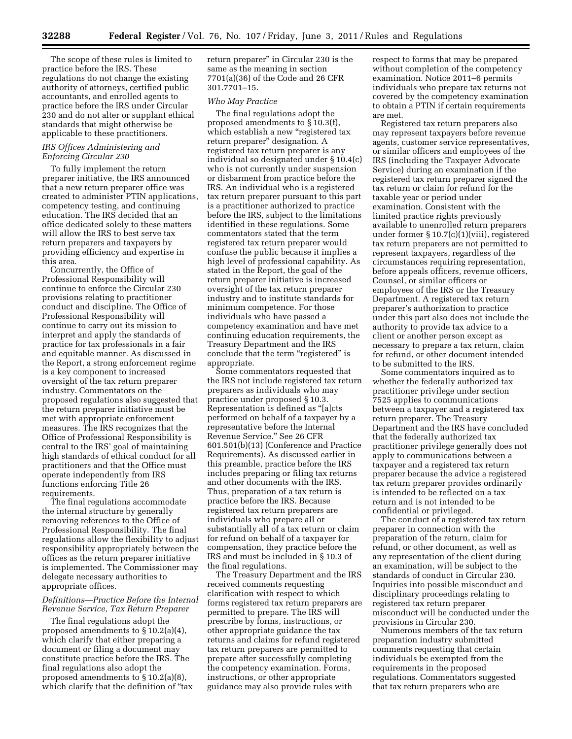The scope of these rules is limited to practice before the IRS. These regulations do not change the existing authority of attorneys, certified public accountants, and enrolled agents to practice before the IRS under Circular 230 and do not alter or supplant ethical standards that might otherwise be applicable to these practitioners.

# *IRS Offices Administering and Enforcing Circular 230*

To fully implement the return preparer initiative, the IRS announced that a new return preparer office was created to administer PTIN applications, competency testing, and continuing education. The IRS decided that an office dedicated solely to these matters will allow the IRS to best serve tax return preparers and taxpayers by providing efficiency and expertise in this area.

Concurrently, the Office of Professional Responsibility will continue to enforce the Circular 230 provisions relating to practitioner conduct and discipline. The Office of Professional Responsibility will continue to carry out its mission to interpret and apply the standards of practice for tax professionals in a fair and equitable manner. As discussed in the Report, a strong enforcement regime is a key component to increased oversight of the tax return preparer industry. Commentators on the proposed regulations also suggested that the return preparer initiative must be met with appropriate enforcement measures. The IRS recognizes that the Office of Professional Responsibility is central to the IRS' goal of maintaining high standards of ethical conduct for all practitioners and that the Office must operate independently from IRS functions enforcing Title 26 requirements.

The final regulations accommodate the internal structure by generally removing references to the Office of Professional Responsibility. The final regulations allow the flexibility to adjust responsibility appropriately between the offices as the return preparer initiative is implemented. The Commissioner may delegate necessary authorities to appropriate offices.

# *Definitions—Practice Before the Internal Revenue Service, Tax Return Preparer*

The final regulations adopt the proposed amendments to § 10.2(a)(4), which clarify that either preparing a document or filing a document may constitute practice before the IRS. The final regulations also adopt the proposed amendments to § 10.2(a)(8), which clarify that the definition of "tax return preparer'' in Circular 230 is the same as the meaning in section 7701(a)(36) of the Code and 26 CFR 301.7701–15.

# *Who May Practice*

The final regulations adopt the proposed amendments to § 10.3(f), which establish a new "registered tax return preparer'' designation. A registered tax return preparer is any individual so designated under § 10.4(c) who is not currently under suspension or disbarment from practice before the IRS. An individual who is a registered tax return preparer pursuant to this part is a practitioner authorized to practice before the IRS, subject to the limitations identified in these regulations. Some commentators stated that the term registered tax return preparer would confuse the public because it implies a high level of professional capability. As stated in the Report, the goal of the return preparer initiative is increased oversight of the tax return preparer industry and to institute standards for minimum competence. For those individuals who have passed a competency examination and have met continuing education requirements, the Treasury Department and the IRS conclude that the term "registered" is appropriate.

Some commentators requested that the IRS not include registered tax return preparers as individuals who may practice under proposed § 10.3. Representation is defined as ''[a]cts performed on behalf of a taxpayer by a representative before the Internal Revenue Service.'' See 26 CFR 601.501(b)(13) (Conference and Practice Requirements). As discussed earlier in this preamble, practice before the IRS includes preparing or filing tax returns and other documents with the IRS. Thus, preparation of a tax return is practice before the IRS. Because registered tax return preparers are individuals who prepare all or substantially all of a tax return or claim for refund on behalf of a taxpayer for compensation, they practice before the IRS and must be included in § 10.3 of the final regulations.

The Treasury Department and the IRS received comments requesting clarification with respect to which forms registered tax return preparers are permitted to prepare. The IRS will prescribe by forms, instructions, or other appropriate guidance the tax returns and claims for refund registered tax return preparers are permitted to prepare after successfully completing the competency examination. Forms, instructions, or other appropriate guidance may also provide rules with

respect to forms that may be prepared without completion of the competency examination. Notice 2011–6 permits individuals who prepare tax returns not covered by the competency examination to obtain a PTIN if certain requirements are met.

Registered tax return preparers also may represent taxpayers before revenue agents, customer service representatives, or similar officers and employees of the IRS (including the Taxpayer Advocate Service) during an examination if the registered tax return preparer signed the tax return or claim for refund for the taxable year or period under examination. Consistent with the limited practice rights previously available to unenrolled return preparers under former § 10.7(c)(1)(viii), registered tax return preparers are not permitted to represent taxpayers, regardless of the circumstances requiring representation, before appeals officers, revenue officers, Counsel, or similar officers or employees of the IRS or the Treasury Department. A registered tax return preparer's authorization to practice under this part also does not include the authority to provide tax advice to a client or another person except as necessary to prepare a tax return, claim for refund, or other document intended to be submitted to the IRS.

Some commentators inquired as to whether the federally authorized tax practitioner privilege under section 7525 applies to communications between a taxpayer and a registered tax return preparer. The Treasury Department and the IRS have concluded that the federally authorized tax practitioner privilege generally does not apply to communications between a taxpayer and a registered tax return preparer because the advice a registered tax return preparer provides ordinarily is intended to be reflected on a tax return and is not intended to be confidential or privileged.

The conduct of a registered tax return preparer in connection with the preparation of the return, claim for refund, or other document, as well as any representation of the client during an examination, will be subject to the standards of conduct in Circular 230. Inquiries into possible misconduct and disciplinary proceedings relating to registered tax return preparer misconduct will be conducted under the provisions in Circular 230.

Numerous members of the tax return preparation industry submitted comments requesting that certain individuals be exempted from the requirements in the proposed regulations. Commentators suggested that tax return preparers who are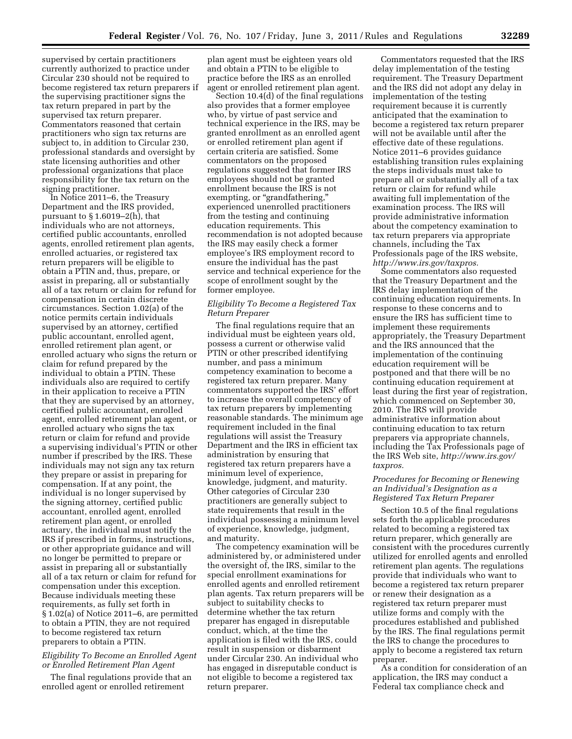supervised by certain practitioners currently authorized to practice under Circular 230 should not be required to become registered tax return preparers if the supervising practitioner signs the tax return prepared in part by the supervised tax return preparer. Commentators reasoned that certain practitioners who sign tax returns are subject to, in addition to Circular 230, professional standards and oversight by state licensing authorities and other professional organizations that place responsibility for the tax return on the signing practitioner.

In Notice 2011–6, the Treasury Department and the IRS provided, pursuant to § 1.6019–2(h), that individuals who are not attorneys, certified public accountants, enrolled agents, enrolled retirement plan agents, enrolled actuaries, or registered tax return preparers will be eligible to obtain a PTIN and, thus, prepare, or assist in preparing, all or substantially all of a tax return or claim for refund for compensation in certain discrete circumstances. Section 1.02(a) of the notice permits certain individuals supervised by an attorney, certified public accountant, enrolled agent, enrolled retirement plan agent, or enrolled actuary who signs the return or claim for refund prepared by the individual to obtain a PTIN. These individuals also are required to certify in their application to receive a PTIN that they are supervised by an attorney, certified public accountant, enrolled agent, enrolled retirement plan agent, or enrolled actuary who signs the tax return or claim for refund and provide a supervising individual's PTIN or other number if prescribed by the IRS. These individuals may not sign any tax return they prepare or assist in preparing for compensation. If at any point, the individual is no longer supervised by the signing attorney, certified public accountant, enrolled agent, enrolled retirement plan agent, or enrolled actuary, the individual must notify the IRS if prescribed in forms, instructions, or other appropriate guidance and will no longer be permitted to prepare or assist in preparing all or substantially all of a tax return or claim for refund for compensation under this exception. Because individuals meeting these requirements, as fully set forth in § 1.02(a) of Notice 2011–6, are permitted to obtain a PTIN, they are not required to become registered tax return preparers to obtain a PTIN.

# *Eligibility To Become an Enrolled Agent or Enrolled Retirement Plan Agent*

The final regulations provide that an enrolled agent or enrolled retirement

plan agent must be eighteen years old and obtain a PTIN to be eligible to practice before the IRS as an enrolled agent or enrolled retirement plan agent.

Section 10.4(d) of the final regulations also provides that a former employee who, by virtue of past service and technical experience in the IRS, may be granted enrollment as an enrolled agent or enrolled retirement plan agent if certain criteria are satisfied. Some commentators on the proposed regulations suggested that former IRS employees should not be granted enrollment because the IRS is not exempting, or "grandfathering," experienced unenrolled practitioners from the testing and continuing education requirements. This recommendation is not adopted because the IRS may easily check a former employee's IRS employment record to ensure the individual has the past service and technical experience for the scope of enrollment sought by the former employee.

# *Eligibility To Become a Registered Tax Return Preparer*

The final regulations require that an individual must be eighteen years old, possess a current or otherwise valid PTIN or other prescribed identifying number, and pass a minimum competency examination to become a registered tax return preparer. Many commentators supported the IRS' effort to increase the overall competency of tax return preparers by implementing reasonable standards. The minimum age requirement included in the final regulations will assist the Treasury Department and the IRS in efficient tax administration by ensuring that registered tax return preparers have a minimum level of experience, knowledge, judgment, and maturity. Other categories of Circular 230 practitioners are generally subject to state requirements that result in the individual possessing a minimum level of experience, knowledge, judgment, and maturity.

The competency examination will be administered by, or administered under the oversight of, the IRS, similar to the special enrollment examinations for enrolled agents and enrolled retirement plan agents. Tax return preparers will be subject to suitability checks to determine whether the tax return preparer has engaged in disreputable conduct, which, at the time the application is filed with the IRS, could result in suspension or disbarment under Circular 230. An individual who has engaged in disreputable conduct is not eligible to become a registered tax return preparer.

Commentators requested that the IRS delay implementation of the testing requirement. The Treasury Department and the IRS did not adopt any delay in implementation of the testing requirement because it is currently anticipated that the examination to become a registered tax return preparer will not be available until after the effective date of these regulations. Notice 2011–6 provides guidance establishing transition rules explaining the steps individuals must take to prepare all or substantially all of a tax return or claim for refund while awaiting full implementation of the examination process. The IRS will provide administrative information about the competency examination to tax return preparers via appropriate channels, including the Tax Professionals page of the IRS website, *[http://www.irs.gov/taxpros.](http://www.irs.gov/taxpros)* 

Some commentators also requested that the Treasury Department and the IRS delay implementation of the continuing education requirements. In response to these concerns and to ensure the IRS has sufficient time to implement these requirements appropriately, the Treasury Department and the IRS announced that the implementation of the continuing education requirement will be postponed and that there will be no continuing education requirement at least during the first year of registration, which commenced on September 30, 2010. The IRS will provide administrative information about continuing education to tax return preparers via appropriate channels, including the Tax Professionals page of the IRS Web site, *[http://www.irs.gov/](http://www.irs.gov/taxpros)  [taxpros.](http://www.irs.gov/taxpros)* 

# *Procedures for Becoming or Renewing an Individual's Designation as a Registered Tax Return Preparer*

Section 10.5 of the final regulations sets forth the applicable procedures related to becoming a registered tax return preparer, which generally are consistent with the procedures currently utilized for enrolled agents and enrolled retirement plan agents. The regulations provide that individuals who want to become a registered tax return preparer or renew their designation as a registered tax return preparer must utilize forms and comply with the procedures established and published by the IRS. The final regulations permit the IRS to change the procedures to apply to become a registered tax return preparer.

As a condition for consideration of an application, the IRS may conduct a Federal tax compliance check and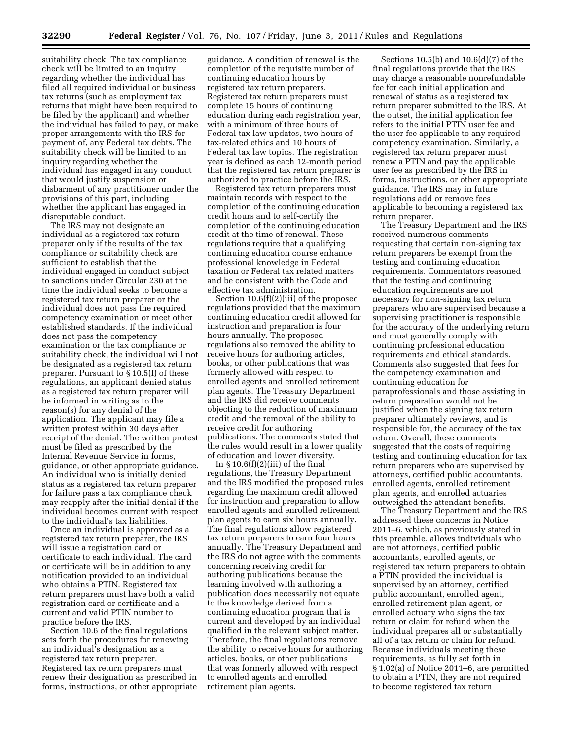suitability check. The tax compliance check will be limited to an inquiry regarding whether the individual has filed all required individual or business tax returns (such as employment tax returns that might have been required to be filed by the applicant) and whether the individual has failed to pay, or make proper arrangements with the IRS for payment of, any Federal tax debts. The suitability check will be limited to an inquiry regarding whether the individual has engaged in any conduct that would justify suspension or disbarment of any practitioner under the provisions of this part, including whether the applicant has engaged in disreputable conduct.

The IRS may not designate an individual as a registered tax return preparer only if the results of the tax compliance or suitability check are sufficient to establish that the individual engaged in conduct subject to sanctions under Circular 230 at the time the individual seeks to become a registered tax return preparer or the individual does not pass the required competency examination or meet other established standards. If the individual does not pass the competency examination or the tax compliance or suitability check, the individual will not be designated as a registered tax return preparer. Pursuant to § 10.5(f) of these regulations, an applicant denied status as a registered tax return preparer will be informed in writing as to the reason(s) for any denial of the application. The applicant may file a written protest within 30 days after receipt of the denial. The written protest must be filed as prescribed by the Internal Revenue Service in forms, guidance, or other appropriate guidance. An individual who is initially denied status as a registered tax return preparer for failure pass a tax compliance check may reapply after the initial denial if the individual becomes current with respect to the individual's tax liabilities.

Once an individual is approved as a registered tax return preparer, the IRS will issue a registration card or certificate to each individual. The card or certificate will be in addition to any notification provided to an individual who obtains a PTIN. Registered tax return preparers must have both a valid registration card or certificate and a current and valid PTIN number to practice before the IRS.

Section 10.6 of the final regulations sets forth the procedures for renewing an individual's designation as a registered tax return preparer. Registered tax return preparers must renew their designation as prescribed in forms, instructions, or other appropriate

guidance. A condition of renewal is the completion of the requisite number of continuing education hours by registered tax return preparers. Registered tax return preparers must complete 15 hours of continuing education during each registration year, with a minimum of three hours of Federal tax law updates, two hours of tax-related ethics and 10 hours of Federal tax law topics. The registration year is defined as each 12-month period that the registered tax return preparer is authorized to practice before the IRS.

Registered tax return preparers must maintain records with respect to the completion of the continuing education credit hours and to self-certify the completion of the continuing education credit at the time of renewal. These regulations require that a qualifying continuing education course enhance professional knowledge in Federal taxation or Federal tax related matters and be consistent with the Code and effective tax administration.

Section 10.6(f)(2)(iii) of the proposed regulations provided that the maximum continuing education credit allowed for instruction and preparation is four hours annually. The proposed regulations also removed the ability to receive hours for authoring articles, books, or other publications that was formerly allowed with respect to enrolled agents and enrolled retirement plan agents. The Treasury Department and the IRS did receive comments objecting to the reduction of maximum credit and the removal of the ability to receive credit for authoring publications. The comments stated that the rules would result in a lower quality of education and lower diversity.

In  $\S 10.6(f)(2)(iii)$  of the final regulations, the Treasury Department and the IRS modified the proposed rules regarding the maximum credit allowed for instruction and preparation to allow enrolled agents and enrolled retirement plan agents to earn six hours annually. The final regulations allow registered tax return preparers to earn four hours annually. The Treasury Department and the IRS do not agree with the comments concerning receiving credit for authoring publications because the learning involved with authoring a publication does necessarily not equate to the knowledge derived from a continuing education program that is current and developed by an individual qualified in the relevant subject matter. Therefore, the final regulations remove the ability to receive hours for authoring articles, books, or other publications that was formerly allowed with respect to enrolled agents and enrolled retirement plan agents.

Sections 10.5(b) and 10.6(d)(7) of the final regulations provide that the IRS may charge a reasonable nonrefundable fee for each initial application and renewal of status as a registered tax return preparer submitted to the IRS. At the outset, the initial application fee refers to the initial PTIN user fee and the user fee applicable to any required competency examination. Similarly, a registered tax return preparer must renew a PTIN and pay the applicable user fee as prescribed by the IRS in forms, instructions, or other appropriate guidance. The IRS may in future regulations add or remove fees applicable to becoming a registered tax return preparer.

The Treasury Department and the IRS received numerous comments requesting that certain non-signing tax return preparers be exempt from the testing and continuing education requirements. Commentators reasoned that the testing and continuing education requirements are not necessary for non-signing tax return preparers who are supervised because a supervising practitioner is responsible for the accuracy of the underlying return and must generally comply with continuing professional education requirements and ethical standards. Comments also suggested that fees for the competency examination and continuing education for paraprofessionals and those assisting in return preparation would not be justified when the signing tax return preparer ultimately reviews, and is responsible for, the accuracy of the tax return. Overall, these comments suggested that the costs of requiring testing and continuing education for tax return preparers who are supervised by attorneys, certified public accountants, enrolled agents, enrolled retirement plan agents, and enrolled actuaries outweighed the attendant benefits.

The Treasury Department and the IRS addressed these concerns in Notice 2011–6, which, as previously stated in this preamble, allows individuals who are not attorneys, certified public accountants, enrolled agents, or registered tax return preparers to obtain a PTIN provided the individual is supervised by an attorney, certified public accountant, enrolled agent, enrolled retirement plan agent, or enrolled actuary who signs the tax return or claim for refund when the individual prepares all or substantially all of a tax return or claim for refund. Because individuals meeting these requirements, as fully set forth in § 1.02(a) of Notice 2011–6, are permitted to obtain a PTIN, they are not required to become registered tax return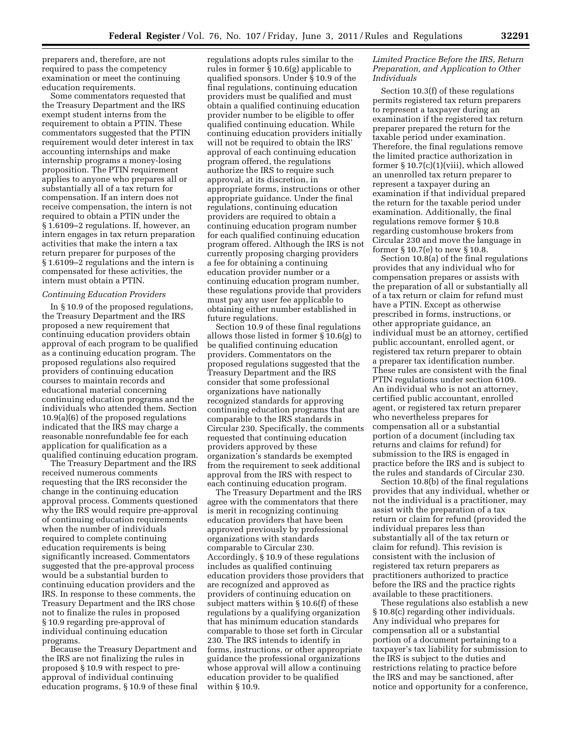preparers and, therefore, are not required to pass the competency examination or meet the continuing education requirements.

Some commentators requested that the Treasury Department and the IRS exempt student interns from the requirement to obtain a PTIN. These commentators suggested that the PTIN requirement would deter interest in tax accounting internships and make internship programs a money-losing proposition. The PTIN requirement applies to anyone who prepares all or substantially all of a tax return for compensation. If an intern does not receive compensation, the intern is not required to obtain a PTIN under the § 1.6109–2 regulations. If, however, an intern engages in tax return preparation activities that make the intern a tax return preparer for purposes of the § 1.6109–2 regulations and the intern is compensated for these activities, the intern must obtain a PTIN.

#### *Continuing Education Providers*

In § 10.9 of the proposed regulations, the Treasury Department and the IRS proposed a new requirement that continuing education providers obtain approval of each program to be qualified as a continuing education program. The proposed regulations also required providers of continuing education courses to maintain records and educational material concerning continuing education programs and the individuals who attended them. Section 10.9(a)(6) of the proposed regulations indicated that the IRS may charge a reasonable nonrefundable fee for each application for qualification as a qualified continuing education program.

The Treasury Department and the IRS received numerous comments requesting that the IRS reconsider the change in the continuing education approval process. Comments questioned why the IRS would require pre-approval of continuing education requirements when the number of individuals required to complete continuing education requirements is being significantly increased. Commentators suggested that the pre-approval process would be a substantial burden to continuing education providers and the IRS. In response to these comments, the Treasury Department and the IRS chose not to finalize the rules in proposed § 10.9 regarding pre-approval of individual continuing education programs.

Because the Treasury Department and the IRS are not finalizing the rules in proposed § 10.9 with respect to preapproval of individual continuing education programs, § 10.9 of these final

regulations adopts rules similar to the rules in former § 10.6(g) applicable to qualified sponsors. Under § 10.9 of the final regulations, continuing education providers must be qualified and must obtain a qualified continuing education provider number to be eligible to offer qualified continuing education. While continuing education providers initially will not be required to obtain the IRS' approval of each continuing education program offered, the regulations authorize the IRS to require such approval, at its discretion, in appropriate forms, instructions or other appropriate guidance. Under the final regulations, continuing education providers are required to obtain a continuing education program number for each qualified continuing education program offered. Although the IRS is not currently proposing charging providers a fee for obtaining a continuing education provider number or a continuing education program number, these regulations provide that providers must pay any user fee applicable to obtaining either number established in future regulations.

Section 10.9 of these final regulations allows those listed in former § 10.6(g) to be qualified continuing education providers. Commentators on the proposed regulations suggested that the Treasury Department and the IRS consider that some professional organizations have nationally recognized standards for approving continuing education programs that are comparable to the IRS standards in Circular 230. Specifically, the comments requested that continuing education providers approved by these organization's standards be exempted from the requirement to seek additional approval from the IRS with respect to each continuing education program.

The Treasury Department and the IRS agree with the commentators that there is merit in recognizing continuing education providers that have been approved previously by professional organizations with standards comparable to Circular 230. Accordingly, § 10.9 of these regulations includes as qualified continuing education providers those providers that are recognized and approved as providers of continuing education on subject matters within § 10.6(f) of these regulations by a qualifying organization that has minimum education standards comparable to those set forth in Circular 230. The IRS intends to identify in forms, instructions, or other appropriate guidance the professional organizations whose approval will allow a continuing education provider to be qualified within § 10.9.

# *Limited Practice Before the IRS, Return Preparation, and Application to Other Individuals*

Section 10.3(f) of these regulations permits registered tax return preparers to represent a taxpayer during an examination if the registered tax return preparer prepared the return for the taxable period under examination. Therefore, the final regulations remove the limited practice authorization in former § 10.7(c)(1)(viii), which allowed an unenrolled tax return preparer to represent a taxpayer during an examination if that individual prepared the return for the taxable period under examination. Additionally, the final regulations remove former § 10.8 regarding customhouse brokers from Circular 230 and move the language in former § 10.7(e) to new § 10.8.

Section 10.8(a) of the final regulations provides that any individual who for compensation prepares or assists with the preparation of all or substantially all of a tax return or claim for refund must have a PTIN. Except as otherwise prescribed in forms, instructions, or other appropriate guidance, an individual must be an attorney, certified public accountant, enrolled agent, or registered tax return preparer to obtain a preparer tax identification number. These rules are consistent with the final PTIN regulations under section 6109. An individual who is not an attorney, certified public accountant, enrolled agent, or registered tax return preparer who nevertheless prepares for compensation all or a substantial portion of a document (including tax returns and claims for refund) for submission to the IRS is engaged in practice before the IRS and is subject to the rules and standards of Circular 230.

Section 10.8(b) of the final regulations provides that any individual, whether or not the individual is a practitioner, may assist with the preparation of a tax return or claim for refund (provided the individual prepares less than substantially all of the tax return or claim for refund). This revision is consistent with the inclusion of registered tax return preparers as practitioners authorized to practice before the IRS and the practice rights available to these practitioners.

These regulations also establish a new § 10.8(c) regarding other individuals. Any individual who prepares for compensation all or a substantial portion of a document pertaining to a taxpayer's tax liability for submission to the IRS is subject to the duties and restrictions relating to practice before the IRS and may be sanctioned, after notice and opportunity for a conference,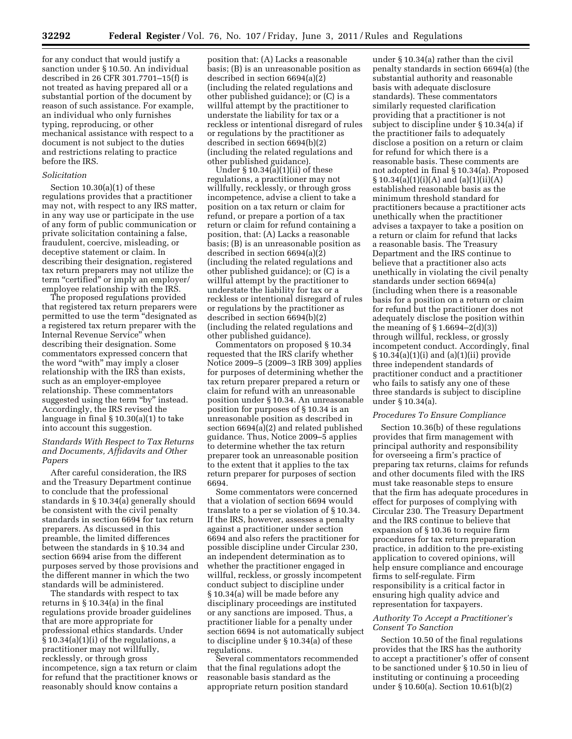for any conduct that would justify a sanction under § 10.50. An individual described in 26 CFR 301.7701–15(f) is not treated as having prepared all or a substantial portion of the document by reason of such assistance. For example, an individual who only furnishes typing, reproducing, or other mechanical assistance with respect to a document is not subject to the duties and restrictions relating to practice before the IRS.

#### *Solicitation*

Section  $10.30(a)(1)$  of these regulations provides that a practitioner may not, with respect to any IRS matter, in any way use or participate in the use of any form of public communication or private solicitation containing a false, fraudulent, coercive, misleading, or deceptive statement or claim. In describing their designation, registered tax return preparers may not utilize the term "certified" or imply an employer/ employee relationship with the IRS.

The proposed regulations provided that registered tax return preparers were permitted to use the term ''designated as a registered tax return preparer with the Internal Revenue Service'' when describing their designation. Some commentators expressed concern that the word "with" may imply a closer relationship with the IRS than exists, such as an employer-employee relationship. These commentators suggested using the term "by" instead. Accordingly, the IRS revised the language in final § 10.30(a)(1) to take into account this suggestion.

# *Standards With Respect to Tax Returns and Documents, Affidavits and Other Papers*

After careful consideration, the IRS and the Treasury Department continue to conclude that the professional standards in § 10.34(a) generally should be consistent with the civil penalty standards in section 6694 for tax return preparers. As discussed in this preamble, the limited differences between the standards in § 10.34 and section 6694 arise from the different purposes served by those provisions and the different manner in which the two standards will be administered.

The standards with respect to tax returns in § 10.34(a) in the final regulations provide broader guidelines that are more appropriate for professional ethics standards. Under  $\S 10.34(a)(1)(i)$  of the regulations, a practitioner may not willfully, recklessly, or through gross incompetence, sign a tax return or claim for refund that the practitioner knows or reasonably should know contains a

position that: (A) Lacks a reasonable basis; (B) is an unreasonable position as described in section 6694(a)(2) (including the related regulations and other published guidance); or (C) is a willful attempt by the practitioner to understate the liability for tax or a reckless or intentional disregard of rules or regulations by the practitioner as described in section 6694(b)(2) (including the related regulations and other published guidance).

Under  $\S 10.34(a)(1)(ii)$  of these regulations, a practitioner may not willfully, recklessly, or through gross incompetence, advise a client to take a position on a tax return or claim for refund, or prepare a portion of a tax return or claim for refund containing a position, that: (A) Lacks a reasonable basis; (B) is an unreasonable position as described in section 6694(a)(2) (including the related regulations and other published guidance); or (C) is a willful attempt by the practitioner to understate the liability for tax or a reckless or intentional disregard of rules or regulations by the practitioner as described in section 6694(b)(2) (including the related regulations and other published guidance).

Commentators on proposed § 10.34 requested that the IRS clarify whether Notice 2009–5 (2009–3 IRB 309) applies for purposes of determining whether the tax return preparer prepared a return or claim for refund with an unreasonable position under § 10.34. An unreasonable position for purposes of § 10.34 is an unreasonable position as described in section 6694(a)(2) and related published guidance. Thus, Notice 2009–5 applies to determine whether the tax return preparer took an unreasonable position to the extent that it applies to the tax return preparer for purposes of section 6694.

Some commentators were concerned that a violation of section 6694 would translate to a per se violation of § 10.34. If the IRS, however, assesses a penalty against a practitioner under section 6694 and also refers the practitioner for possible discipline under Circular 230, an independent determination as to whether the practitioner engaged in willful, reckless, or grossly incompetent conduct subject to discipline under § 10.34(a) will be made before any disciplinary proceedings are instituted or any sanctions are imposed. Thus, a practitioner liable for a penalty under section 6694 is not automatically subject to discipline under § 10.34(a) of these regulations.

Several commentators recommended that the final regulations adopt the reasonable basis standard as the appropriate return position standard

under § 10.34(a) rather than the civil penalty standards in section 6694(a) (the substantial authority and reasonable basis with adequate disclosure standards). These commentators similarly requested clarification providing that a practitioner is not subject to discipline under § 10.34(a) if the practitioner fails to adequately disclose a position on a return or claim for refund for which there is a reasonable basis. These comments are not adopted in final § 10.34(a). Proposed  $§ 10.34(a)(1)(i)(A)$  and  $(a)(1)(ii)(A)$ established reasonable basis as the minimum threshold standard for practitioners because a practitioner acts unethically when the practitioner advises a taxpayer to take a position on a return or claim for refund that lacks a reasonable basis. The Treasury Department and the IRS continue to believe that a practitioner also acts unethically in violating the civil penalty standards under section 6694(a) (including when there is a reasonable basis for a position on a return or claim for refund but the practitioner does not adequately disclose the position within the meaning of  $\S 1.6694 - 2(d)(3)$ through willful, reckless, or grossly incompetent conduct. Accordingly, final § 10.34(a)(1)(i) and (a)(1)(ii) provide three independent standards of practitioner conduct and a practitioner who fails to satisfy any one of these three standards is subject to discipline under § 10.34(a).

#### *Procedures To Ensure Compliance*

Section 10.36(b) of these regulations provides that firm management with principal authority and responsibility for overseeing a firm's practice of preparing tax returns, claims for refunds and other documents filed with the IRS must take reasonable steps to ensure that the firm has adequate procedures in effect for purposes of complying with Circular 230. The Treasury Department and the IRS continue to believe that expansion of § 10.36 to require firm procedures for tax return preparation practice, in addition to the pre-existing application to covered opinions, will help ensure compliance and encourage firms to self-regulate. Firm responsibility is a critical factor in ensuring high quality advice and representation for taxpayers.

# *Authority To Accept a Practitioner's Consent To Sanction*

Section 10.50 of the final regulations provides that the IRS has the authority to accept a practitioner's offer of consent to be sanctioned under § 10.50 in lieu of instituting or continuing a proceeding under § 10.60(a). Section 10.61(b)(2)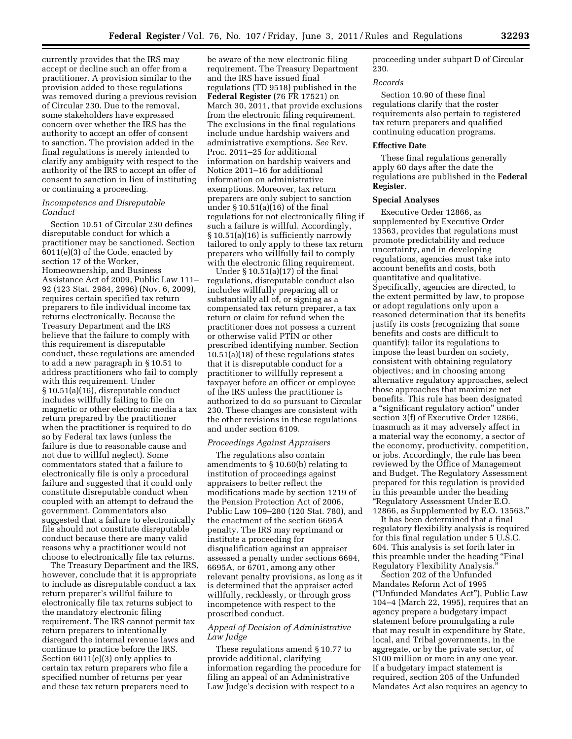currently provides that the IRS may accept or decline such an offer from a practitioner. A provision similar to the provision added to these regulations was removed during a previous revision of Circular 230. Due to the removal, some stakeholders have expressed concern over whether the IRS has the authority to accept an offer of consent to sanction. The provision added in the final regulations is merely intended to clarify any ambiguity with respect to the authority of the IRS to accept an offer of consent to sanction in lieu of instituting or continuing a proceeding.

#### *Incompetence and Disreputable Conduct*

Section 10.51 of Circular 230 defines disreputable conduct for which a practitioner may be sanctioned. Section 6011(e)(3) of the Code, enacted by section 17 of the Worker, Homeownership, and Business Assistance Act of 2009, Public Law 111– 92 (123 Stat. 2984, 2996) (Nov. 6, 2009), requires certain specified tax return preparers to file individual income tax returns electronically. Because the Treasury Department and the IRS believe that the failure to comply with this requirement is disreputable conduct, these regulations are amended to add a new paragraph in § 10.51 to address practitioners who fail to comply with this requirement. Under § 10.51(a)(16), disreputable conduct includes willfully failing to file on magnetic or other electronic media a tax return prepared by the practitioner when the practitioner is required to do so by Federal tax laws (unless the failure is due to reasonable cause and not due to willful neglect). Some commentators stated that a failure to electronically file is only a procedural failure and suggested that it could only constitute disreputable conduct when coupled with an attempt to defraud the government. Commentators also suggested that a failure to electronically file should not constitute disreputable conduct because there are many valid reasons why a practitioner would not choose to electronically file tax returns.

The Treasury Department and the IRS, however, conclude that it is appropriate to include as disreputable conduct a tax return preparer's willful failure to electronically file tax returns subject to the mandatory electronic filing requirement. The IRS cannot permit tax return preparers to intentionally disregard the internal revenue laws and continue to practice before the IRS. Section 6011(e)(3) only applies to certain tax return preparers who file a specified number of returns per year and these tax return preparers need to

be aware of the new electronic filing requirement. The Treasury Department and the IRS have issued final regulations (TD 9518) published in the **Federal Register** (76 FR 17521) on March 30, 2011, that provide exclusions from the electronic filing requirement. The exclusions in the final regulations include undue hardship waivers and administrative exemptions. *See* Rev. Proc. 2011–25 for additional information on hardship waivers and Notice 2011–16 for additional information on administrative exemptions. Moreover, tax return preparers are only subject to sanction under § 10.51(a)(16) of the final regulations for not electronically filing if such a failure is willful. Accordingly, § 10.51(a)(16) is sufficiently narrowly tailored to only apply to these tax return preparers who willfully fail to comply with the electronic filing requirement.

Under § 10.51(a)(17) of the final regulations, disreputable conduct also includes willfully preparing all or substantially all of, or signing as a compensated tax return preparer, a tax return or claim for refund when the practitioner does not possess a current or otherwise valid PTIN or other prescribed identifying number. Section 10.51(a)(18) of these regulations states that it is disreputable conduct for a practitioner to willfully represent a taxpayer before an officer or employee of the IRS unless the practitioner is authorized to do so pursuant to Circular 230. These changes are consistent with the other revisions in these regulations and under section 6109.

#### *Proceedings Against Appraisers*

The regulations also contain amendments to § 10.60(b) relating to institution of proceedings against appraisers to better reflect the modifications made by section 1219 of the Pension Protection Act of 2006, Public Law 109–280 (120 Stat. 780), and the enactment of the section 6695A penalty. The IRS may reprimand or institute a proceeding for disqualification against an appraiser assessed a penalty under sections 6694, 6695A, or 6701, among any other relevant penalty provisions, as long as it is determined that the appraiser acted willfully, recklessly, or through gross incompetence with respect to the proscribed conduct.

# *Appeal of Decision of Administrative Law Judge*

These regulations amend § 10.77 to provide additional, clarifying information regarding the procedure for filing an appeal of an Administrative Law Judge's decision with respect to a

proceeding under subpart D of Circular 230.

#### *Records*

Section 10.90 of these final regulations clarify that the roster requirements also pertain to registered tax return preparers and qualified continuing education programs.

# **Effective Date**

These final regulations generally apply 60 days after the date the regulations are published in the **Federal Register**.

#### **Special Analyses**

Executive Order 12866, as supplemented by Executive Order 13563, provides that regulations must promote predictability and reduce uncertainty, and in developing regulations, agencies must take into account benefits and costs, both quantitative and qualitative. Specifically, agencies are directed, to the extent permitted by law, to propose or adopt regulations only upon a reasoned determination that its benefits justify its costs (recognizing that some benefits and costs are difficult to quantify); tailor its regulations to impose the least burden on society, consistent with obtaining regulatory objectives; and in choosing among alternative regulatory approaches, select those approaches that maximize net benefits. This rule has been designated a ''significant regulatory action'' under section 3(f) of Executive Order 12866, inasmuch as it may adversely affect in a material way the economy, a sector of the economy, productivity, competition, or jobs. Accordingly, the rule has been reviewed by the Office of Management and Budget. The Regulatory Assessment prepared for this regulation is provided in this preamble under the heading ''Regulatory Assessment Under E.O. 12866, as Supplemented by E.O. 13563.''

It has been determined that a final regulatory flexibility analysis is required for this final regulation under 5 U.S.C. 604. This analysis is set forth later in this preamble under the heading "Final Regulatory Flexibility Analysis.

Section 202 of the Unfunded Mandates Reform Act of 1995 (''Unfunded Mandates Act''), Public Law 104–4 (March 22, 1995), requires that an agency prepare a budgetary impact statement before promulgating a rule that may result in expenditure by State, local, and Tribal governments, in the aggregate, or by the private sector, of \$100 million or more in any one year. If a budgetary impact statement is required, section 205 of the Unfunded Mandates Act also requires an agency to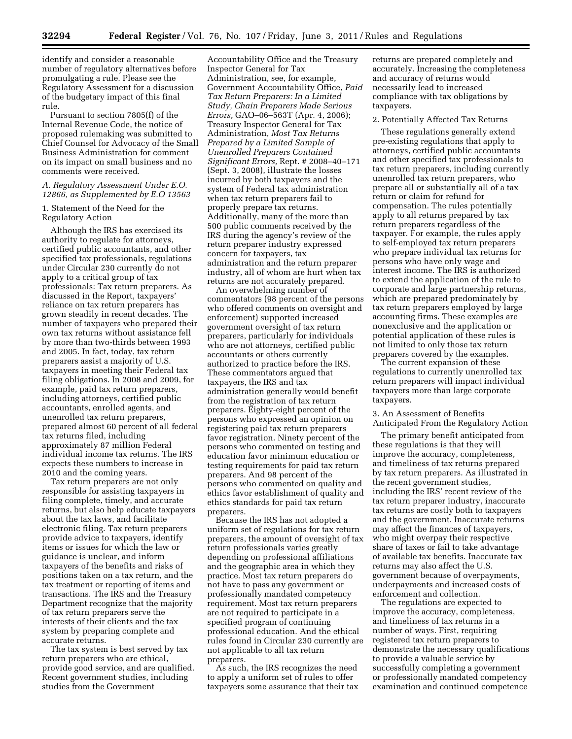identify and consider a reasonable number of regulatory alternatives before promulgating a rule. Please see the Regulatory Assessment for a discussion of the budgetary impact of this final rule.

Pursuant to section 7805(f) of the Internal Revenue Code, the notice of proposed rulemaking was submitted to Chief Counsel for Advocacy of the Small Business Administration for comment on its impact on small business and no comments were received.

# *A. Regulatory Assessment Under E.O. 12866, as Supplemented by E.O 13563*

1. Statement of the Need for the Regulatory Action

Although the IRS has exercised its authority to regulate for attorneys, certified public accountants, and other specified tax professionals, regulations under Circular 230 currently do not apply to a critical group of tax professionals: Tax return preparers. As discussed in the Report, taxpayers' reliance on tax return preparers has grown steadily in recent decades. The number of taxpayers who prepared their own tax returns without assistance fell by more than two-thirds between 1993 and 2005. In fact, today, tax return preparers assist a majority of U.S. taxpayers in meeting their Federal tax filing obligations. In 2008 and 2009, for example, paid tax return preparers, including attorneys, certified public accountants, enrolled agents, and unenrolled tax return preparers, prepared almost 60 percent of all federal tax returns filed, including approximately 87 million Federal individual income tax returns. The IRS expects these numbers to increase in 2010 and the coming years.

Tax return preparers are not only responsible for assisting taxpayers in filing complete, timely, and accurate returns, but also help educate taxpayers about the tax laws, and facilitate electronic filing. Tax return preparers provide advice to taxpayers, identify items or issues for which the law or guidance is unclear, and inform taxpayers of the benefits and risks of positions taken on a tax return, and the tax treatment or reporting of items and transactions. The IRS and the Treasury Department recognize that the majority of tax return preparers serve the interests of their clients and the tax system by preparing complete and accurate returns.

The tax system is best served by tax return preparers who are ethical, provide good service, and are qualified. Recent government studies, including studies from the Government

Accountability Office and the Treasury Inspector General for Tax Administration, see, for example, Government Accountability Office, *Paid Tax Return Preparers: In a Limited Study, Chain Preparers Made Serious Errors,* GAO–06–563T (Apr. 4, 2006); Treasury Inspector General for Tax Administration, *Most Tax Returns Prepared by a Limited Sample of Unenrolled Preparers Contained Significant Errors,* Rept. # 2008–40–171 (Sept. 3, 2008), illustrate the losses incurred by both taxpayers and the system of Federal tax administration when tax return preparers fail to properly prepare tax returns. Additionally, many of the more than 500 public comments received by the IRS during the agency's review of the return preparer industry expressed concern for taxpayers, tax administration and the return preparer industry, all of whom are hurt when tax returns are not accurately prepared.

An overwhelming number of commentators (98 percent of the persons who offered comments on oversight and enforcement) supported increased government oversight of tax return preparers, particularly for individuals who are not attorneys, certified public accountants or others currently authorized to practice before the IRS. These commentators argued that taxpayers, the IRS and tax administration generally would benefit from the registration of tax return preparers. Eighty-eight percent of the persons who expressed an opinion on registering paid tax return preparers favor registration. Ninety percent of the persons who commented on testing and education favor minimum education or testing requirements for paid tax return preparers. And 98 percent of the persons who commented on quality and ethics favor establishment of quality and ethics standards for paid tax return preparers.

Because the IRS has not adopted a uniform set of regulations for tax return preparers, the amount of oversight of tax return professionals varies greatly depending on professional affiliations and the geographic area in which they practice. Most tax return preparers do not have to pass any government or professionally mandated competency requirement. Most tax return preparers are not required to participate in a specified program of continuing professional education. And the ethical rules found in Circular 230 currently are not applicable to all tax return preparers.

As such, the IRS recognizes the need to apply a uniform set of rules to offer taxpayers some assurance that their tax

returns are prepared completely and accurately. Increasing the completeness and accuracy of returns would necessarily lead to increased compliance with tax obligations by taxpayers.

#### 2. Potentially Affected Tax Returns

These regulations generally extend pre-existing regulations that apply to attorneys, certified public accountants and other specified tax professionals to tax return preparers, including currently unenrolled tax return preparers, who prepare all or substantially all of a tax return or claim for refund for compensation. The rules potentially apply to all returns prepared by tax return preparers regardless of the taxpayer. For example, the rules apply to self-employed tax return preparers who prepare individual tax returns for persons who have only wage and interest income. The IRS is authorized to extend the application of the rule to corporate and large partnership returns, which are prepared predominately by tax return preparers employed by large accounting firms. These examples are nonexclusive and the application or potential application of these rules is not limited to only those tax return preparers covered by the examples.

The current expansion of these regulations to currently unenrolled tax return preparers will impact individual taxpayers more than large corporate taxpayers.

# 3. An Assessment of Benefits Anticipated From the Regulatory Action

The primary benefit anticipated from these regulations is that they will improve the accuracy, completeness, and timeliness of tax returns prepared by tax return preparers. As illustrated in the recent government studies, including the IRS' recent review of the tax return preparer industry, inaccurate tax returns are costly both to taxpayers and the government. Inaccurate returns may affect the finances of taxpayers, who might overpay their respective share of taxes or fail to take advantage of available tax benefits. Inaccurate tax returns may also affect the U.S. government because of overpayments, underpayments and increased costs of enforcement and collection.

The regulations are expected to improve the accuracy, completeness, and timeliness of tax returns in a number of ways. First, requiring registered tax return preparers to demonstrate the necessary qualifications to provide a valuable service by successfully completing a government or professionally mandated competency examination and continued competence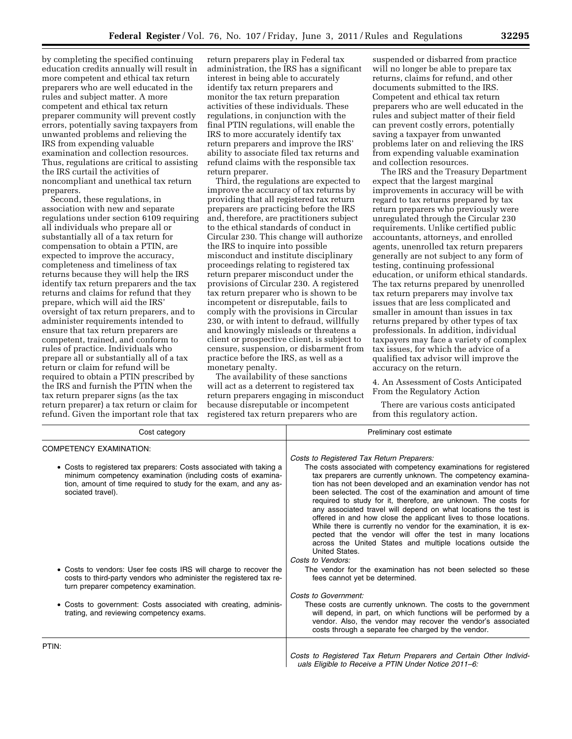by completing the specified continuing education credits annually will result in more competent and ethical tax return preparers who are well educated in the rules and subject matter. A more competent and ethical tax return preparer community will prevent costly errors, potentially saving taxpayers from unwanted problems and relieving the IRS from expending valuable examination and collection resources. Thus, regulations are critical to assisting the IRS curtail the activities of noncompliant and unethical tax return preparers.

Second, these regulations, in association with new and separate regulations under section 6109 requiring all individuals who prepare all or substantially all of a tax return for compensation to obtain a PTIN, are expected to improve the accuracy, completeness and timeliness of tax returns because they will help the IRS identify tax return preparers and the tax returns and claims for refund that they prepare, which will aid the IRS' oversight of tax return preparers, and to administer requirements intended to ensure that tax return preparers are competent, trained, and conform to rules of practice. Individuals who prepare all or substantially all of a tax return or claim for refund will be required to obtain a PTIN prescribed by the IRS and furnish the PTIN when the tax return preparer signs (as the tax return preparer) a tax return or claim for refund. Given the important role that tax

return preparers play in Federal tax administration, the IRS has a significant interest in being able to accurately identify tax return preparers and monitor the tax return preparation activities of these individuals. These regulations, in conjunction with the final PTIN regulations, will enable the IRS to more accurately identify tax return preparers and improve the IRS' ability to associate filed tax returns and refund claims with the responsible tax return preparer.

Third, the regulations are expected to improve the accuracy of tax returns by providing that all registered tax return preparers are practicing before the IRS and, therefore, are practitioners subject to the ethical standards of conduct in Circular 230. This change will authorize the IRS to inquire into possible misconduct and institute disciplinary proceedings relating to registered tax return preparer misconduct under the provisions of Circular 230. A registered tax return preparer who is shown to be incompetent or disreputable, fails to comply with the provisions in Circular 230, or with intent to defraud, willfully and knowingly misleads or threatens a client or prospective client, is subject to censure, suspension, or disbarment from practice before the IRS, as well as a monetary penalty.

The availability of these sanctions will act as a deterrent to registered tax return preparers engaging in misconduct because disreputable or incompetent registered tax return preparers who are

suspended or disbarred from practice will no longer be able to prepare tax returns, claims for refund, and other documents submitted to the IRS. Competent and ethical tax return preparers who are well educated in the rules and subject matter of their field can prevent costly errors, potentially saving a taxpayer from unwanted problems later on and relieving the IRS from expending valuable examination and collection resources.

The IRS and the Treasury Department expect that the largest marginal improvements in accuracy will be with regard to tax returns prepared by tax return preparers who previously were unregulated through the Circular 230 requirements. Unlike certified public accountants, attorneys, and enrolled agents, unenrolled tax return preparers generally are not subject to any form of testing, continuing professional education, or uniform ethical standards. The tax returns prepared by unenrolled tax return preparers may involve tax issues that are less complicated and smaller in amount than issues in tax returns prepared by other types of tax professionals. In addition, individual taxpayers may face a variety of complex tax issues, for which the advice of a qualified tax advisor will improve the accuracy on the return.

4. An Assessment of Costs Anticipated From the Regulatory Action

There are various costs anticipated from this regulatory action.

| Cost category                                                                                                                                                                                                                                                                                   | Preliminary cost estimate                                                                                                                                                                                                                                                                                                                                                                                                                                                                                                                                                                                                                                                                                                                       |
|-------------------------------------------------------------------------------------------------------------------------------------------------------------------------------------------------------------------------------------------------------------------------------------------------|-------------------------------------------------------------------------------------------------------------------------------------------------------------------------------------------------------------------------------------------------------------------------------------------------------------------------------------------------------------------------------------------------------------------------------------------------------------------------------------------------------------------------------------------------------------------------------------------------------------------------------------------------------------------------------------------------------------------------------------------------|
| <b>COMPETENCY EXAMINATION:</b>                                                                                                                                                                                                                                                                  |                                                                                                                                                                                                                                                                                                                                                                                                                                                                                                                                                                                                                                                                                                                                                 |
| • Costs to registered tax preparers: Costs associated with taking a<br>minimum competency examination (including costs of examina-<br>tion, amount of time required to study for the exam, and any as-<br>sociated travel).                                                                     | Costs to Registered Tax Return Preparers:<br>The costs associated with competency examinations for registered<br>tax preparers are currently unknown. The competency examina-<br>tion has not been developed and an examination vendor has not<br>been selected. The cost of the examination and amount of time<br>required to study for it, therefore, are unknown. The costs for<br>any associated travel will depend on what locations the test is<br>offered in and how close the applicant lives to those locations.<br>While there is currently no vendor for the examination, it is ex-<br>pected that the vendor will offer the test in many locations<br>across the United States and multiple locations outside the<br>United States. |
| • Costs to vendors: User fee costs IRS will charge to recover the<br>costs to third-party vendors who administer the registered tax re-<br>turn preparer competency examination.<br>• Costs to government: Costs associated with creating, adminis-<br>trating, and reviewing competency exams. | Costs to Vendors:<br>The vendor for the examination has not been selected so these<br>fees cannot yet be determined.<br>Costs to Government:<br>These costs are currently unknown. The costs to the government<br>will depend, in part, on which functions will be performed by a<br>vendor. Also, the vendor may recover the vendor's associated<br>costs through a separate fee charged by the vendor.                                                                                                                                                                                                                                                                                                                                        |
| PTIN:                                                                                                                                                                                                                                                                                           | Costs to Registered Tax Return Preparers and Certain Other Individ-<br>uals Eligible to Receive a PTIN Under Notice 2011-6:                                                                                                                                                                                                                                                                                                                                                                                                                                                                                                                                                                                                                     |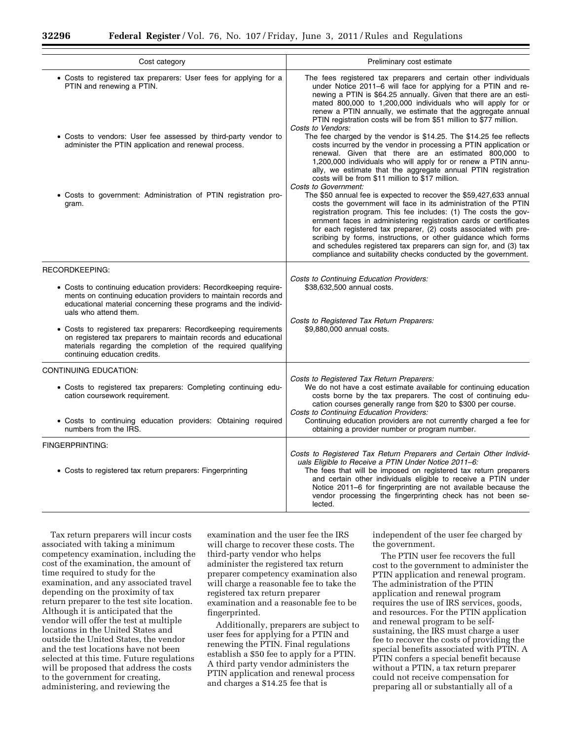| Cost category                                                                                                                                                                                                                                      | Preliminary cost estimate                                                                                                                                                                                                                                                                                                                                                                                                                                                                                                                                  |  |
|----------------------------------------------------------------------------------------------------------------------------------------------------------------------------------------------------------------------------------------------------|------------------------------------------------------------------------------------------------------------------------------------------------------------------------------------------------------------------------------------------------------------------------------------------------------------------------------------------------------------------------------------------------------------------------------------------------------------------------------------------------------------------------------------------------------------|--|
| • Costs to registered tax preparers: User fees for applying for a<br>PTIN and renewing a PTIN.                                                                                                                                                     | The fees registered tax preparers and certain other individuals<br>under Notice 2011-6 will face for applying for a PTIN and re-<br>newing a PTIN is \$64.25 annually. Given that there are an esti-<br>mated 800,000 to 1,200,000 individuals who will apply for or<br>renew a PTIN annually, we estimate that the aggregate annual<br>PTIN registration costs will be from \$51 million to \$77 million.<br>Costs to Vendors:                                                                                                                            |  |
| • Costs to vendors: User fee assessed by third-party vendor to<br>administer the PTIN application and renewal process.                                                                                                                             | The fee charged by the vendor is \$14.25. The \$14.25 fee reflects<br>costs incurred by the vendor in processing a PTIN application or<br>renewal. Given that there are an estimated 800,000 to<br>1,200,000 individuals who will apply for or renew a PTIN annu-<br>ally, we estimate that the aggregate annual PTIN registration<br>costs will be from \$11 million to \$17 million.<br>Costs to Government:                                                                                                                                             |  |
| • Costs to government: Administration of PTIN registration pro-<br>gram.                                                                                                                                                                           | The \$50 annual fee is expected to recover the \$59,427,633 annual<br>costs the government will face in its administration of the PTIN<br>registration program. This fee includes: (1) The costs the gov-<br>ernment faces in administering registration cards or certificates<br>for each registered tax preparer, (2) costs associated with pre-<br>scribing by forms, instructions, or other guidance which forms<br>and schedules registered tax preparers can sign for, and (3) tax<br>compliance and suitability checks conducted by the government. |  |
| RECORDKEEPING:<br>• Costs to continuing education providers: Recordkeeping require-<br>ments on continuing education providers to maintain records and<br>educational material concerning these programs and the individ-<br>uals who attend them. | Costs to Continuing Education Providers:<br>\$38,632,500 annual costs.                                                                                                                                                                                                                                                                                                                                                                                                                                                                                     |  |
| • Costs to registered tax preparers: Recordkeeping requirements<br>on registered tax preparers to maintain records and educational<br>materials regarding the completion of the required qualifying<br>continuing education credits.               | Costs to Registered Tax Return Preparers:<br>\$9,880,000 annual costs.                                                                                                                                                                                                                                                                                                                                                                                                                                                                                     |  |
| <b>CONTINUING EDUCATION:</b>                                                                                                                                                                                                                       |                                                                                                                                                                                                                                                                                                                                                                                                                                                                                                                                                            |  |
| • Costs to registered tax preparers: Completing continuing edu-<br>cation coursework requirement.                                                                                                                                                  | Costs to Registered Tax Return Preparers:<br>We do not have a cost estimate available for continuing education<br>costs borne by the tax preparers. The cost of continuing edu-<br>cation courses generally range from \$20 to \$300 per course.<br>Costs to Continuing Education Providers:                                                                                                                                                                                                                                                               |  |
| • Costs to continuing education providers: Obtaining required<br>numbers from the IRS.                                                                                                                                                             | Continuing education providers are not currently charged a fee for<br>obtaining a provider number or program number.                                                                                                                                                                                                                                                                                                                                                                                                                                       |  |
| FINGERPRINTING:                                                                                                                                                                                                                                    |                                                                                                                                                                                                                                                                                                                                                                                                                                                                                                                                                            |  |
| • Costs to registered tax return preparers: Fingerprinting                                                                                                                                                                                         | Costs to Registered Tax Return Preparers and Certain Other Individ-<br>uals Eligible to Receive a PTIN Under Notice 2011-6:<br>The fees that will be imposed on registered tax return preparers<br>and certain other individuals eligible to receive a PTIN under<br>Notice 2011–6 for fingerprinting are not available because the<br>vendor processing the fingerprinting check has not been se-<br>lected.                                                                                                                                              |  |

Tax return preparers will incur costs associated with taking a minimum competency examination, including the cost of the examination, the amount of time required to study for the examination, and any associated travel depending on the proximity of tax return preparer to the test site location. Although it is anticipated that the vendor will offer the test at multiple locations in the United States and outside the United States, the vendor and the test locations have not been selected at this time. Future regulations will be proposed that address the costs to the government for creating, administering, and reviewing the

examination and the user fee the IRS will charge to recover these costs. The third-party vendor who helps administer the registered tax return preparer competency examination also will charge a reasonable fee to take the registered tax return preparer examination and a reasonable fee to be fingerprinted.

Additionally, preparers are subject to user fees for applying for a PTIN and renewing the PTIN. Final regulations establish a \$50 fee to apply for a PTIN. A third party vendor administers the PTIN application and renewal process and charges a \$14.25 fee that is

independent of the user fee charged by the government.

The PTIN user fee recovers the full cost to the government to administer the PTIN application and renewal program. The administration of the PTIN application and renewal program requires the use of IRS services, goods, and resources. For the PTIN application and renewal program to be selfsustaining, the IRS must charge a user fee to recover the costs of providing the special benefits associated with PTIN. A PTIN confers a special benefit because without a PTIN, a tax return preparer could not receive compensation for preparing all or substantially all of a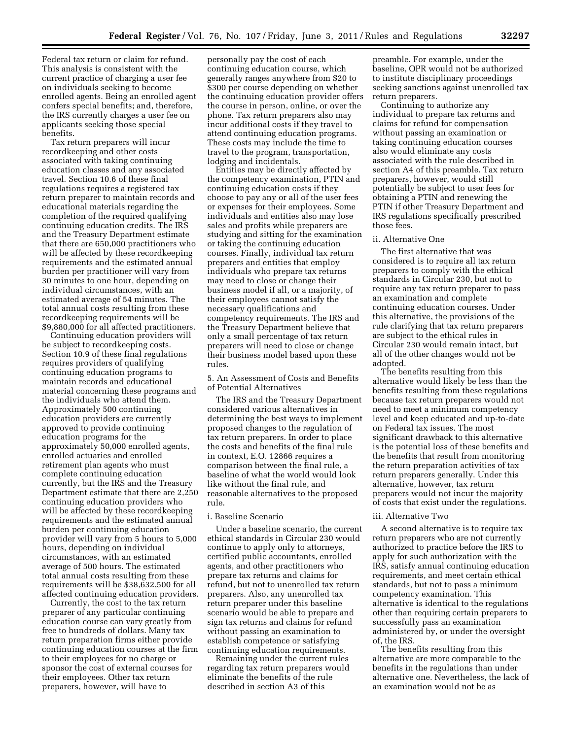Federal tax return or claim for refund. This analysis is consistent with the current practice of charging a user fee on individuals seeking to become enrolled agents. Being an enrolled agent confers special benefits; and, therefore, the IRS currently charges a user fee on applicants seeking those special benefits.

Tax return preparers will incur recordkeeping and other costs associated with taking continuing education classes and any associated travel. Section 10.6 of these final regulations requires a registered tax return preparer to maintain records and educational materials regarding the completion of the required qualifying continuing education credits. The IRS and the Treasury Department estimate that there are 650,000 practitioners who will be affected by these recordkeeping requirements and the estimated annual burden per practitioner will vary from 30 minutes to one hour, depending on individual circumstances, with an estimated average of 54 minutes. The total annual costs resulting from these recordkeeping requirements will be \$9,880,000 for all affected practitioners.

Continuing education providers will be subject to recordkeeping costs. Section 10.9 of these final regulations requires providers of qualifying continuing education programs to maintain records and educational material concerning these programs and the individuals who attend them. Approximately 500 continuing education providers are currently approved to provide continuing education programs for the approximately 50,000 enrolled agents, enrolled actuaries and enrolled retirement plan agents who must complete continuing education currently, but the IRS and the Treasury Department estimate that there are 2,250 continuing education providers who will be affected by these recordkeeping requirements and the estimated annual burden per continuing education provider will vary from 5 hours to 5,000 hours, depending on individual circumstances, with an estimated average of 500 hours. The estimated total annual costs resulting from these requirements will be \$38,632,500 for all affected continuing education providers.

Currently, the cost to the tax return preparer of any particular continuing education course can vary greatly from free to hundreds of dollars. Many tax return preparation firms either provide continuing education courses at the firm to their employees for no charge or sponsor the cost of external courses for their employees. Other tax return preparers, however, will have to

personally pay the cost of each continuing education course, which generally ranges anywhere from \$20 to \$300 per course depending on whether the continuing education provider offers the course in person, online, or over the phone. Tax return preparers also may incur additional costs if they travel to attend continuing education programs. These costs may include the time to travel to the program, transportation, lodging and incidentals.

Entities may be directly affected by the competency examination, PTIN and continuing education costs if they choose to pay any or all of the user fees or expenses for their employees. Some individuals and entities also may lose sales and profits while preparers are studying and sitting for the examination or taking the continuing education courses. Finally, individual tax return preparers and entities that employ individuals who prepare tax returns may need to close or change their business model if all, or a majority, of their employees cannot satisfy the necessary qualifications and competency requirements. The IRS and the Treasury Department believe that only a small percentage of tax return preparers will need to close or change their business model based upon these rules.

5. An Assessment of Costs and Benefits of Potential Alternatives

The IRS and the Treasury Department considered various alternatives in determining the best ways to implement proposed changes to the regulation of tax return preparers. In order to place the costs and benefits of the final rule in context, E.O. 12866 requires a comparison between the final rule, a baseline of what the world would look like without the final rule, and reasonable alternatives to the proposed rule.

# i. Baseline Scenario

Under a baseline scenario, the current ethical standards in Circular 230 would continue to apply only to attorneys, certified public accountants, enrolled agents, and other practitioners who prepare tax returns and claims for refund, but not to unenrolled tax return preparers. Also, any unenrolled tax return preparer under this baseline scenario would be able to prepare and sign tax returns and claims for refund without passing an examination to establish competence or satisfying continuing education requirements.

Remaining under the current rules regarding tax return preparers would eliminate the benefits of the rule described in section A3 of this

preamble. For example, under the baseline, OPR would not be authorized to institute disciplinary proceedings seeking sanctions against unenrolled tax return preparers.

Continuing to authorize any individual to prepare tax returns and claims for refund for compensation without passing an examination or taking continuing education courses also would eliminate any costs associated with the rule described in section A4 of this preamble. Tax return preparers, however, would still potentially be subject to user fees for obtaining a PTIN and renewing the PTIN if other Treasury Department and IRS regulations specifically prescribed those fees.

#### ii. Alternative One

The first alternative that was considered is to require all tax return preparers to comply with the ethical standards in Circular 230, but not to require any tax return preparer to pass an examination and complete continuing education courses. Under this alternative, the provisions of the rule clarifying that tax return preparers are subject to the ethical rules in Circular 230 would remain intact, but all of the other changes would not be adopted.

The benefits resulting from this alternative would likely be less than the benefits resulting from these regulations because tax return preparers would not need to meet a minimum competency level and keep educated and up-to-date on Federal tax issues. The most significant drawback to this alternative is the potential loss of these benefits and the benefits that result from monitoring the return preparation activities of tax return preparers generally. Under this alternative, however, tax return preparers would not incur the majority of costs that exist under the regulations.

#### iii. Alternative Two

A second alternative is to require tax return preparers who are not currently authorized to practice before the IRS to apply for such authorization with the IRS, satisfy annual continuing education requirements, and meet certain ethical standards, but not to pass a minimum competency examination. This alternative is identical to the regulations other than requiring certain preparers to successfully pass an examination administered by, or under the oversight of, the IRS.

The benefits resulting from this alternative are more comparable to the benefits in the regulations than under alternative one. Nevertheless, the lack of an examination would not be as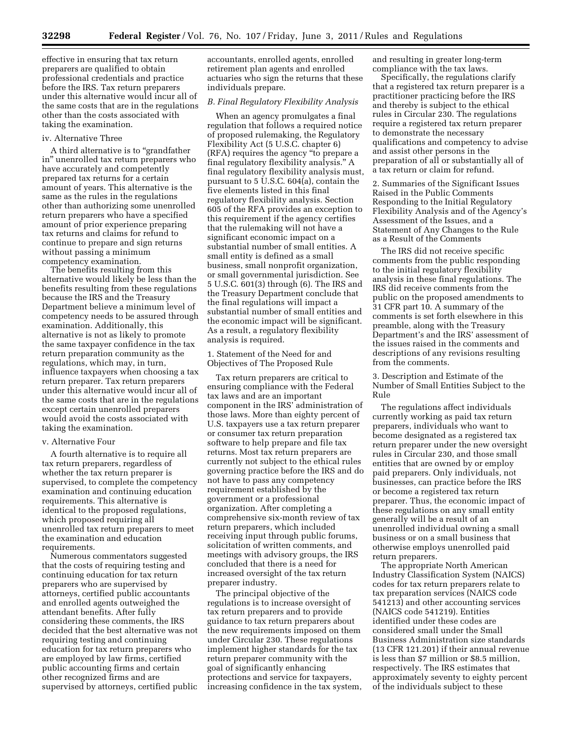effective in ensuring that tax return preparers are qualified to obtain professional credentials and practice before the IRS. Tax return preparers under this alternative would incur all of the same costs that are in the regulations other than the costs associated with taking the examination.

# iv. Alternative Three

A third alternative is to ''grandfather in'' unenrolled tax return preparers who have accurately and competently prepared tax returns for a certain amount of years. This alternative is the same as the rules in the regulations other than authorizing some unenrolled return preparers who have a specified amount of prior experience preparing tax returns and claims for refund to continue to prepare and sign returns without passing a minimum competency examination.

The benefits resulting from this alternative would likely be less than the benefits resulting from these regulations because the IRS and the Treasury Department believe a minimum level of competency needs to be assured through examination. Additionally, this alternative is not as likely to promote the same taxpayer confidence in the tax return preparation community as the regulations, which may, in turn, influence taxpayers when choosing a tax return preparer. Tax return preparers under this alternative would incur all of the same costs that are in the regulations except certain unenrolled preparers would avoid the costs associated with taking the examination.

#### v. Alternative Four

A fourth alternative is to require all tax return preparers, regardless of whether the tax return preparer is supervised, to complete the competency examination and continuing education requirements. This alternative is identical to the proposed regulations, which proposed requiring all unenrolled tax return preparers to meet the examination and education requirements.

Numerous commentators suggested that the costs of requiring testing and continuing education for tax return preparers who are supervised by attorneys, certified public accountants and enrolled agents outweighed the attendant benefits. After fully considering these comments, the IRS decided that the best alternative was not requiring testing and continuing education for tax return preparers who are employed by law firms, certified public accounting firms and certain other recognized firms and are supervised by attorneys, certified public accountants, enrolled agents, enrolled retirement plan agents and enrolled actuaries who sign the returns that these individuals prepare.

# *B. Final Regulatory Flexibility Analysis*

When an agency promulgates a final regulation that follows a required notice of proposed rulemaking, the Regulatory Flexibility Act (5 U.S.C. chapter 6) (RFA) requires the agency ''to prepare a final regulatory flexibility analysis.'' A final regulatory flexibility analysis must, pursuant to 5 U.S.C. 604(a), contain the five elements listed in this final regulatory flexibility analysis. Section 605 of the RFA provides an exception to this requirement if the agency certifies that the rulemaking will not have a significant economic impact on a substantial number of small entities. A small entity is defined as a small business, small nonprofit organization, or small governmental jurisdiction. See 5 U.S.C. 601(3) through (6). The IRS and the Treasury Department conclude that the final regulations will impact a substantial number of small entities and the economic impact will be significant. As a result, a regulatory flexibility analysis is required.

1. Statement of the Need for and Objectives of The Proposed Rule

Tax return preparers are critical to ensuring compliance with the Federal tax laws and are an important component in the IRS' administration of those laws. More than eighty percent of U.S. taxpayers use a tax return preparer or consumer tax return preparation software to help prepare and file tax returns. Most tax return preparers are currently not subject to the ethical rules governing practice before the IRS and do not have to pass any competency requirement established by the government or a professional organization. After completing a comprehensive six-month review of tax return preparers, which included receiving input through public forums, solicitation of written comments, and meetings with advisory groups, the IRS concluded that there is a need for increased oversight of the tax return preparer industry.

The principal objective of the regulations is to increase oversight of tax return preparers and to provide guidance to tax return preparers about the new requirements imposed on them under Circular 230. These regulations implement higher standards for the tax return preparer community with the goal of significantly enhancing protections and service for taxpayers, increasing confidence in the tax system, and resulting in greater long-term compliance with the tax laws.

Specifically, the regulations clarify that a registered tax return preparer is a practitioner practicing before the IRS and thereby is subject to the ethical rules in Circular 230. The regulations require a registered tax return preparer to demonstrate the necessary qualifications and competency to advise and assist other persons in the preparation of all or substantially all of a tax return or claim for refund.

2. Summaries of the Significant Issues Raised in the Public Comments Responding to the Initial Regulatory Flexibility Analysis and of the Agency's Assessment of the Issues, and a Statement of Any Changes to the Rule as a Result of the Comments

The IRS did not receive specific comments from the public responding to the initial regulatory flexibility analysis in these final regulations. The IRS did receive comments from the public on the proposed amendments to 31 CFR part 10. A summary of the comments is set forth elsewhere in this preamble, along with the Treasury Department's and the IRS' assessment of the issues raised in the comments and descriptions of any revisions resulting from the comments.

3. Description and Estimate of the Number of Small Entities Subject to the Rule

The regulations affect individuals currently working as paid tax return preparers, individuals who want to become designated as a registered tax return preparer under the new oversight rules in Circular 230, and those small entities that are owned by or employ paid preparers. Only individuals, not businesses, can practice before the IRS or become a registered tax return preparer. Thus, the economic impact of these regulations on any small entity generally will be a result of an unenrolled individual owning a small business or on a small business that otherwise employs unenrolled paid return preparers.

The appropriate North American Industry Classification System (NAICS) codes for tax return preparers relate to tax preparation services (NAICS code 541213) and other accounting services (NAICS code 541219). Entities identified under these codes are considered small under the Small Business Administration size standards (13 CFR 121.201) if their annual revenue is less than \$7 million or \$8.5 million, respectively. The IRS estimates that approximately seventy to eighty percent of the individuals subject to these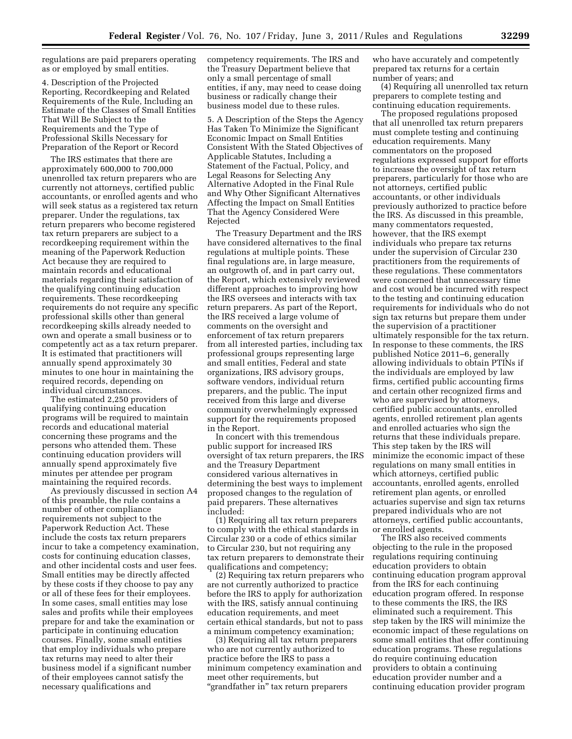regulations are paid preparers operating as or employed by small entities.

4. Description of the Projected Reporting, Recordkeeping and Related Requirements of the Rule, Including an Estimate of the Classes of Small Entities That Will Be Subject to the Requirements and the Type of Professional Skills Necessary for Preparation of the Report or Record

The IRS estimates that there are approximately 600,000 to 700,000 unenrolled tax return preparers who are currently not attorneys, certified public accountants, or enrolled agents and who will seek status as a registered tax return preparer. Under the regulations, tax return preparers who become registered tax return preparers are subject to a recordkeeping requirement within the meaning of the Paperwork Reduction Act because they are required to maintain records and educational materials regarding their satisfaction of the qualifying continuing education requirements. These recordkeeping requirements do not require any specific professional skills other than general recordkeeping skills already needed to own and operate a small business or to competently act as a tax return preparer. It is estimated that practitioners will annually spend approximately 30 minutes to one hour in maintaining the required records, depending on individual circumstances.

The estimated 2,250 providers of qualifying continuing education programs will be required to maintain records and educational material concerning these programs and the persons who attended them. These continuing education providers will annually spend approximately five minutes per attendee per program maintaining the required records.

As previously discussed in section A4 of this preamble, the rule contains a number of other compliance requirements not subject to the Paperwork Reduction Act. These include the costs tax return preparers incur to take a competency examination, costs for continuing education classes, and other incidental costs and user fees. Small entities may be directly affected by these costs if they choose to pay any or all of these fees for their employees. In some cases, small entities may lose sales and profits while their employees prepare for and take the examination or participate in continuing education courses. Finally, some small entities that employ individuals who prepare tax returns may need to alter their business model if a significant number of their employees cannot satisfy the necessary qualifications and

competency requirements. The IRS and the Treasury Department believe that only a small percentage of small entities, if any, may need to cease doing business or radically change their business model due to these rules.

5. A Description of the Steps the Agency Has Taken To Minimize the Significant Economic Impact on Small Entities Consistent With the Stated Objectives of Applicable Statutes, Including a Statement of the Factual, Policy, and Legal Reasons for Selecting Any Alternative Adopted in the Final Rule and Why Other Significant Alternatives Affecting the Impact on Small Entities That the Agency Considered Were Rejected

The Treasury Department and the IRS have considered alternatives to the final regulations at multiple points. These final regulations are, in large measure, an outgrowth of, and in part carry out, the Report, which extensively reviewed different approaches to improving how the IRS oversees and interacts with tax return preparers. As part of the Report, the IRS received a large volume of comments on the oversight and enforcement of tax return preparers from all interested parties, including tax professional groups representing large and small entities, Federal and state organizations, IRS advisory groups, software vendors, individual return preparers, and the public. The input received from this large and diverse community overwhelmingly expressed support for the requirements proposed in the Report.

In concert with this tremendous public support for increased IRS oversight of tax return preparers, the IRS and the Treasury Department considered various alternatives in determining the best ways to implement proposed changes to the regulation of paid preparers. These alternatives included:

(1) Requiring all tax return preparers to comply with the ethical standards in Circular 230 or a code of ethics similar to Circular 230, but not requiring any tax return preparers to demonstrate their qualifications and competency;

(2) Requiring tax return preparers who are not currently authorized to practice before the IRS to apply for authorization with the IRS, satisfy annual continuing education requirements, and meet certain ethical standards, but not to pass a minimum competency examination;

(3) Requiring all tax return preparers who are not currently authorized to practice before the IRS to pass a minimum competency examination and meet other requirements, but "grandfather in" tax return preparers

who have accurately and competently prepared tax returns for a certain number of years; and

(4) Requiring all unenrolled tax return preparers to complete testing and continuing education requirements.

The proposed regulations proposed that all unenrolled tax return preparers must complete testing and continuing education requirements. Many commentators on the proposed regulations expressed support for efforts to increase the oversight of tax return preparers, particularly for those who are not attorneys, certified public accountants, or other individuals previously authorized to practice before the IRS. As discussed in this preamble, many commentators requested, however, that the IRS exempt individuals who prepare tax returns under the supervision of Circular 230 practitioners from the requirements of these regulations. These commentators were concerned that unnecessary time and cost would be incurred with respect to the testing and continuing education requirements for individuals who do not sign tax returns but prepare them under the supervision of a practitioner ultimately responsible for the tax return. In response to these comments, the IRS published Notice 2011–6, generally allowing individuals to obtain PTINs if the individuals are employed by law firms, certified public accounting firms and certain other recognized firms and who are supervised by attorneys, certified public accountants, enrolled agents, enrolled retirement plan agents and enrolled actuaries who sign the returns that these individuals prepare. This step taken by the IRS will minimize the economic impact of these regulations on many small entities in which attorneys, certified public accountants, enrolled agents, enrolled retirement plan agents, or enrolled actuaries supervise and sign tax returns prepared individuals who are not attorneys, certified public accountants, or enrolled agents.

The IRS also received comments objecting to the rule in the proposed regulations requiring continuing education providers to obtain continuing education program approval from the IRS for each continuing education program offered. In response to these comments the IRS, the IRS eliminated such a requirement. This step taken by the IRS will minimize the economic impact of these regulations on some small entities that offer continuing education programs. These regulations do require continuing education providers to obtain a continuing education provider number and a continuing education provider program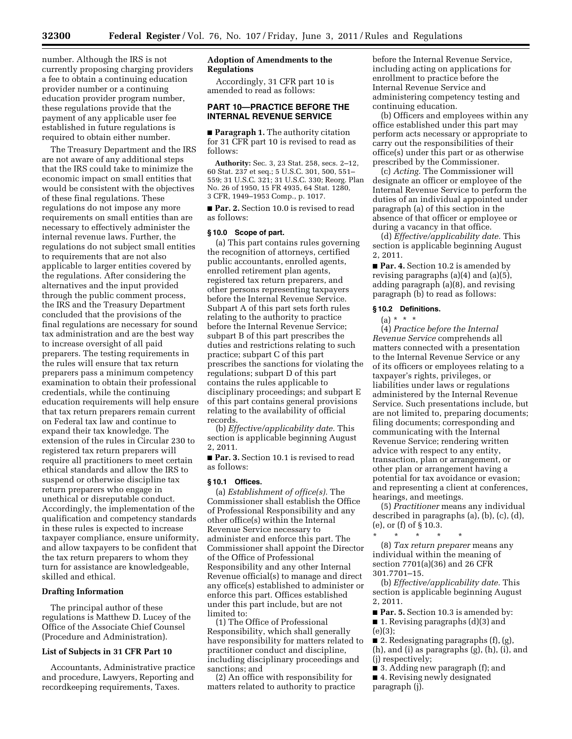number. Although the IRS is not currently proposing charging providers a fee to obtain a continuing education provider number or a continuing education provider program number, these regulations provide that the payment of any applicable user fee established in future regulations is required to obtain either number.

The Treasury Department and the IRS are not aware of any additional steps that the IRS could take to minimize the economic impact on small entities that would be consistent with the objectives of these final regulations. These regulations do not impose any more requirements on small entities than are necessary to effectively administer the internal revenue laws. Further, the regulations do not subject small entities to requirements that are not also applicable to larger entities covered by the regulations. After considering the alternatives and the input provided through the public comment process, the IRS and the Treasury Department concluded that the provisions of the final regulations are necessary for sound tax administration and are the best way to increase oversight of all paid preparers. The testing requirements in the rules will ensure that tax return preparers pass a minimum competency examination to obtain their professional credentials, while the continuing education requirements will help ensure that tax return preparers remain current on Federal tax law and continue to expand their tax knowledge. The extension of the rules in Circular 230 to registered tax return preparers will require all practitioners to meet certain ethical standards and allow the IRS to suspend or otherwise discipline tax return preparers who engage in unethical or disreputable conduct. Accordingly, the implementation of the qualification and competency standards in these rules is expected to increase taxpayer compliance, ensure uniformity, and allow taxpayers to be confident that the tax return preparers to whom they turn for assistance are knowledgeable, skilled and ethical.

#### **Drafting Information**

The principal author of these regulations is Matthew D. Lucey of the Office of the Associate Chief Counsel (Procedure and Administration).

# **List of Subjects in 31 CFR Part 10**

Accountants, Administrative practice and procedure, Lawyers, Reporting and recordkeeping requirements, Taxes.

# **Adoption of Amendments to the Regulations**

Accordingly, 31 CFR part 10 is amended to read as follows:

# **PART 10—PRACTICE BEFORE THE INTERNAL REVENUE SERVICE**

■ **Paragraph 1.** The authority citation for 31 CFR part 10 is revised to read as follows:

**Authority:** Sec. 3, 23 Stat. 258, secs. 2–12, 60 Stat. 237 et seq.; 5 U.S.C. 301, 500, 551– 559; 31 U.S.C. 321; 31 U.S.C. 330; Reorg. Plan No. 26 of 1950, 15 FR 4935, 64 Stat. 1280, 3 CFR, 1949–1953 Comp., p. 1017.

■ **Par. 2.** Section 10.0 is revised to read as follows:

# **§ 10.0 Scope of part.**

(a) This part contains rules governing the recognition of attorneys, certified public accountants, enrolled agents, enrolled retirement plan agents, registered tax return preparers, and other persons representing taxpayers before the Internal Revenue Service. Subpart A of this part sets forth rules relating to the authority to practice before the Internal Revenue Service; subpart B of this part prescribes the duties and restrictions relating to such practice; subpart C of this part prescribes the sanctions for violating the regulations; subpart D of this part contains the rules applicable to disciplinary proceedings; and subpart E of this part contains general provisions relating to the availability of official records.

(b) *Effective/applicability date.* This section is applicable beginning August 2, 2011.

■ **Par. 3.** Section 10.1 is revised to read as follows:

# **§ 10.1 Offices.**

(a) *Establishment of office(s).* The Commissioner shall establish the Office of Professional Responsibility and any other office(s) within the Internal Revenue Service necessary to administer and enforce this part. The Commissioner shall appoint the Director of the Office of Professional Responsibility and any other Internal Revenue official(s) to manage and direct any office(s) established to administer or enforce this part. Offices established under this part include, but are not limited to:

(1) The Office of Professional Responsibility, which shall generally have responsibility for matters related to practitioner conduct and discipline, including disciplinary proceedings and sanctions; and

(2) An office with responsibility for matters related to authority to practice before the Internal Revenue Service, including acting on applications for enrollment to practice before the Internal Revenue Service and administering competency testing and continuing education.

(b) Officers and employees within any office established under this part may perform acts necessary or appropriate to carry out the responsibilities of their office(s) under this part or as otherwise prescribed by the Commissioner.

(c) *Acting.* The Commissioner will designate an officer or employee of the Internal Revenue Service to perform the duties of an individual appointed under paragraph (a) of this section in the absence of that officer or employee or during a vacancy in that office.

(d) *Effective/applicability date.* This section is applicable beginning August 2, 2011.

■ **Par. 4.** Section 10.2 is amended by revising paragraphs (a)(4) and (a)(5), adding paragraph (a)(8), and revising paragraph (b) to read as follows:

#### **§ 10.2 Definitions.**

# $(a) * * * *$

(4) *Practice before the Internal Revenue Service* comprehends all matters connected with a presentation to the Internal Revenue Service or any of its officers or employees relating to a taxpayer's rights, privileges, or liabilities under laws or regulations administered by the Internal Revenue Service. Such presentations include, but are not limited to, preparing documents; filing documents; corresponding and communicating with the Internal Revenue Service; rendering written advice with respect to any entity, transaction, plan or arrangement, or other plan or arrangement having a potential for tax avoidance or evasion; and representing a client at conferences, hearings, and meetings.

(5) *Practitioner* means any individual described in paragraphs (a), (b), (c), (d), (e), or (f) of § 10.3.

- \* \* \* \* \* (8) *Tax return preparer* means any individual within the meaning of section 7701(a)(36) and 26 CFR
- 301.7701–15.

(b) *Effective/applicability date.* This section is applicable beginning August 2, 2011.

■ **Par. 5.** Section 10.3 is amended by:

■ 1. Revising paragraphs (d)(3) and (e)(3);

■ 2. Redesignating paragraphs (f), (g), (h), and (i) as paragraphs (g), (h), (i), and (j) respectively;

■ 3. Adding new paragraph (f); and ■ 4. Revising newly designated paragraph (j).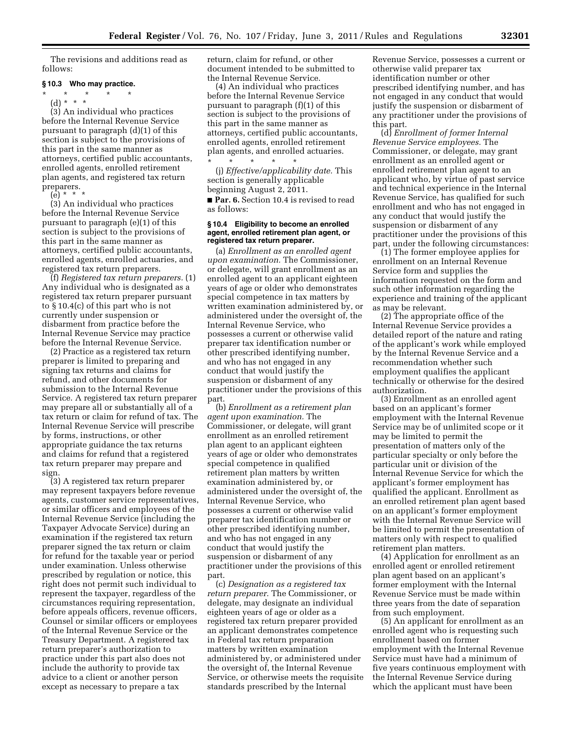The revisions and additions read as follows:

# **§ 10.3 Who may practice.**

\* \* \* \* \*

(d) \* \* \* (3) An individual who practices before the Internal Revenue Service pursuant to paragraph (d)(1) of this section is subject to the provisions of this part in the same manner as attorneys, certified public accountants, enrolled agents, enrolled retirement plan agents, and registered tax return preparers. (e) \* \* \*

(3) An individual who practices before the Internal Revenue Service pursuant to paragraph (e)(1) of this section is subject to the provisions of this part in the same manner as attorneys, certified public accountants, enrolled agents, enrolled actuaries, and registered tax return preparers.

(f) *Registered tax return preparers.* (1) Any individual who is designated as a registered tax return preparer pursuant to § 10.4(c) of this part who is not currently under suspension or disbarment from practice before the Internal Revenue Service may practice before the Internal Revenue Service.

(2) Practice as a registered tax return preparer is limited to preparing and signing tax returns and claims for refund, and other documents for submission to the Internal Revenue Service. A registered tax return preparer may prepare all or substantially all of a tax return or claim for refund of tax. The Internal Revenue Service will prescribe by forms, instructions, or other appropriate guidance the tax returns and claims for refund that a registered tax return preparer may prepare and sign.

(3) A registered tax return preparer may represent taxpayers before revenue agents, customer service representatives, or similar officers and employees of the Internal Revenue Service (including the Taxpayer Advocate Service) during an examination if the registered tax return preparer signed the tax return or claim for refund for the taxable year or period under examination. Unless otherwise prescribed by regulation or notice, this right does not permit such individual to represent the taxpayer, regardless of the circumstances requiring representation, before appeals officers, revenue officers, Counsel or similar officers or employees of the Internal Revenue Service or the Treasury Department. A registered tax return preparer's authorization to practice under this part also does not include the authority to provide tax advice to a client or another person except as necessary to prepare a tax

return, claim for refund, or other document intended to be submitted to the Internal Revenue Service.

(4) An individual who practices before the Internal Revenue Service pursuant to paragraph (f)(1) of this section is subject to the provisions of this part in the same manner as attorneys, certified public accountants, enrolled agents, enrolled retirement plan agents, and enrolled actuaries. \* \* \* \* \*

(j) *Effective/applicability date.* This section is generally applicable beginning August 2, 2011.

■ Par. 6. Section 10.4 is revised to read as follows:

#### **§ 10.4 Eligibility to become an enrolled agent, enrolled retirement plan agent, or registered tax return preparer.**

(a) *Enrollment as an enrolled agent upon examination.* The Commissioner, or delegate, will grant enrollment as an enrolled agent to an applicant eighteen years of age or older who demonstrates special competence in tax matters by written examination administered by, or administered under the oversight of, the Internal Revenue Service, who possesses a current or otherwise valid preparer tax identification number or other prescribed identifying number, and who has not engaged in any conduct that would justify the suspension or disbarment of any practitioner under the provisions of this part.

(b) *Enrollment as a retirement plan agent upon examination.* The Commissioner, or delegate, will grant enrollment as an enrolled retirement plan agent to an applicant eighteen years of age or older who demonstrates special competence in qualified retirement plan matters by written examination administered by, or administered under the oversight of, the Internal Revenue Service, who possesses a current or otherwise valid preparer tax identification number or other prescribed identifying number, and who has not engaged in any conduct that would justify the suspension or disbarment of any practitioner under the provisions of this part.

(c) *Designation as a registered tax return preparer.* The Commissioner, or delegate, may designate an individual eighteen years of age or older as a registered tax return preparer provided an applicant demonstrates competence in Federal tax return preparation matters by written examination administered by, or administered under the oversight of, the Internal Revenue Service, or otherwise meets the requisite standards prescribed by the Internal

Revenue Service, possesses a current or otherwise valid preparer tax identification number or other prescribed identifying number, and has not engaged in any conduct that would justify the suspension or disbarment of any practitioner under the provisions of this part.

(d) *Enrollment of former Internal Revenue Service employees.* The Commissioner, or delegate, may grant enrollment as an enrolled agent or enrolled retirement plan agent to an applicant who, by virtue of past service and technical experience in the Internal Revenue Service, has qualified for such enrollment and who has not engaged in any conduct that would justify the suspension or disbarment of any practitioner under the provisions of this part, under the following circumstances:

(1) The former employee applies for enrollment on an Internal Revenue Service form and supplies the information requested on the form and such other information regarding the experience and training of the applicant as may be relevant.

(2) The appropriate office of the Internal Revenue Service provides a detailed report of the nature and rating of the applicant's work while employed by the Internal Revenue Service and a recommendation whether such employment qualifies the applicant technically or otherwise for the desired authorization.

(3) Enrollment as an enrolled agent based on an applicant's former employment with the Internal Revenue Service may be of unlimited scope or it may be limited to permit the presentation of matters only of the particular specialty or only before the particular unit or division of the Internal Revenue Service for which the applicant's former employment has qualified the applicant. Enrollment as an enrolled retirement plan agent based on an applicant's former employment with the Internal Revenue Service will be limited to permit the presentation of matters only with respect to qualified retirement plan matters.

(4) Application for enrollment as an enrolled agent or enrolled retirement plan agent based on an applicant's former employment with the Internal Revenue Service must be made within three years from the date of separation from such employment.

(5) An applicant for enrollment as an enrolled agent who is requesting such enrollment based on former employment with the Internal Revenue Service must have had a minimum of five years continuous employment with the Internal Revenue Service during which the applicant must have been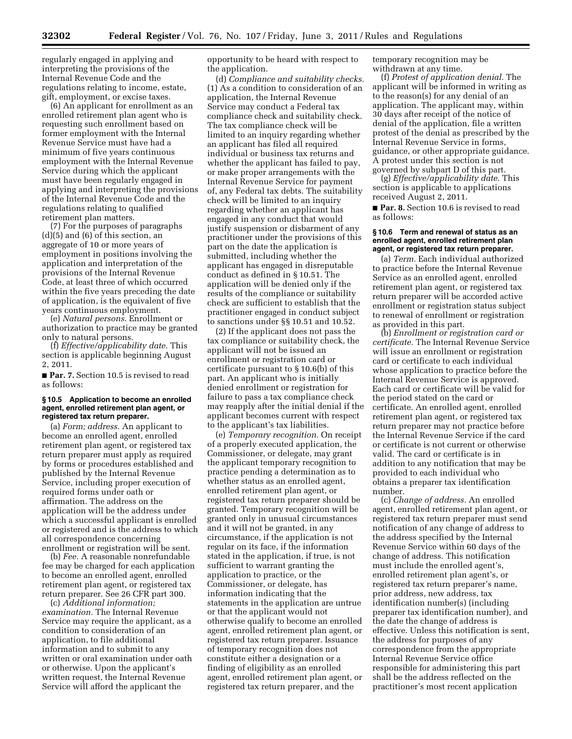regularly engaged in applying and interpreting the provisions of the Internal Revenue Code and the regulations relating to income, estate, gift, employment, or excise taxes.

(6) An applicant for enrollment as an enrolled retirement plan agent who is requesting such enrollment based on former employment with the Internal Revenue Service must have had a minimum of five years continuous employment with the Internal Revenue Service during which the applicant must have been regularly engaged in applying and interpreting the provisions of the Internal Revenue Code and the regulations relating to qualified retirement plan matters.

(7) For the purposes of paragraphs (d)(5) and (6) of this section, an aggregate of 10 or more years of employment in positions involving the application and interpretation of the provisions of the Internal Revenue Code, at least three of which occurred within the five years preceding the date of application, is the equivalent of five years continuous employment.

(e) *Natural persons.* Enrollment or authorization to practice may be granted only to natural persons.

(f) *Effective/applicability date.* This section is applicable beginning August 2, 2011.

■ **Par. 7.** Section 10.5 is revised to read as follows:

#### **§ 10.5 Application to become an enrolled agent, enrolled retirement plan agent, or registered tax return preparer.**

(a) *Form; address.* An applicant to become an enrolled agent, enrolled retirement plan agent, or registered tax return preparer must apply as required by forms or procedures established and published by the Internal Revenue Service, including proper execution of required forms under oath or affirmation. The address on the application will be the address under which a successful applicant is enrolled or registered and is the address to which all correspondence concerning enrollment or registration will be sent.

(b) *Fee.* A reasonable nonrefundable fee may be charged for each application to become an enrolled agent, enrolled retirement plan agent, or registered tax return preparer. See 26 CFR part 300.

(c) *Additional information; examination.* The Internal Revenue Service may require the applicant, as a condition to consideration of an application, to file additional information and to submit to any written or oral examination under oath or otherwise. Upon the applicant's written request, the Internal Revenue Service will afford the applicant the

opportunity to be heard with respect to the application.

(d) *Compliance and suitability checks.*  (1) As a condition to consideration of an application, the Internal Revenue Service may conduct a Federal tax compliance check and suitability check. The tax compliance check will be limited to an inquiry regarding whether an applicant has filed all required individual or business tax returns and whether the applicant has failed to pay, or make proper arrangements with the Internal Revenue Service for payment of, any Federal tax debts. The suitability check will be limited to an inquiry regarding whether an applicant has engaged in any conduct that would justify suspension or disbarment of any practitioner under the provisions of this part on the date the application is submitted, including whether the applicant has engaged in disreputable conduct as defined in § 10.51. The application will be denied only if the results of the compliance or suitability check are sufficient to establish that the practitioner engaged in conduct subject to sanctions under §§ 10.51 and 10.52.

(2) If the applicant does not pass the tax compliance or suitability check, the applicant will not be issued an enrollment or registration card or certificate pursuant to § 10.6(b) of this part. An applicant who is initially denied enrollment or registration for failure to pass a tax compliance check may reapply after the initial denial if the applicant becomes current with respect to the applicant's tax liabilities.

(e) *Temporary recognition.* On receipt of a properly executed application, the Commissioner, or delegate, may grant the applicant temporary recognition to practice pending a determination as to whether status as an enrolled agent, enrolled retirement plan agent, or registered tax return preparer should be granted. Temporary recognition will be granted only in unusual circumstances and it will not be granted, in any circumstance, if the application is not regular on its face, if the information stated in the application, if true, is not sufficient to warrant granting the application to practice, or the Commissioner, or delegate, has information indicating that the statements in the application are untrue or that the applicant would not otherwise qualify to become an enrolled agent, enrolled retirement plan agent, or registered tax return preparer. Issuance of temporary recognition does not constitute either a designation or a finding of eligibility as an enrolled agent, enrolled retirement plan agent, or registered tax return preparer, and the

temporary recognition may be withdrawn at any time.

(f) *Protest of application denial.* The applicant will be informed in writing as to the reason(s) for any denial of an application. The applicant may, within 30 days after receipt of the notice of denial of the application, file a written protest of the denial as prescribed by the Internal Revenue Service in forms, guidance, or other appropriate guidance. A protest under this section is not governed by subpart D of this part.

(g) *Effective/applicability date.* This section is applicable to applications received August 2, 2011.

■ **Par. 8.** Section 10.6 is revised to read as follows:

#### **§ 10.6 Term and renewal of status as an enrolled agent, enrolled retirement plan agent, or registered tax return preparer.**

(a) *Term.* Each individual authorized to practice before the Internal Revenue Service as an enrolled agent, enrolled retirement plan agent, or registered tax return preparer will be accorded active enrollment or registration status subject to renewal of enrollment or registration as provided in this part.

(b) *Enrollment or registration card or certificate.* The Internal Revenue Service will issue an enrollment or registration card or certificate to each individual whose application to practice before the Internal Revenue Service is approved. Each card or certificate will be valid for the period stated on the card or certificate. An enrolled agent, enrolled retirement plan agent, or registered tax return preparer may not practice before the Internal Revenue Service if the card or certificate is not current or otherwise valid. The card or certificate is in addition to any notification that may be provided to each individual who obtains a preparer tax identification number.

(c) *Change of address.* An enrolled agent, enrolled retirement plan agent, or registered tax return preparer must send notification of any change of address to the address specified by the Internal Revenue Service within 60 days of the change of address. This notification must include the enrolled agent's, enrolled retirement plan agent's, or registered tax return preparer's name, prior address, new address, tax identification number(s) (including preparer tax identification number), and the date the change of address is effective. Unless this notification is sent, the address for purposes of any correspondence from the appropriate Internal Revenue Service office responsible for administering this part shall be the address reflected on the practitioner's most recent application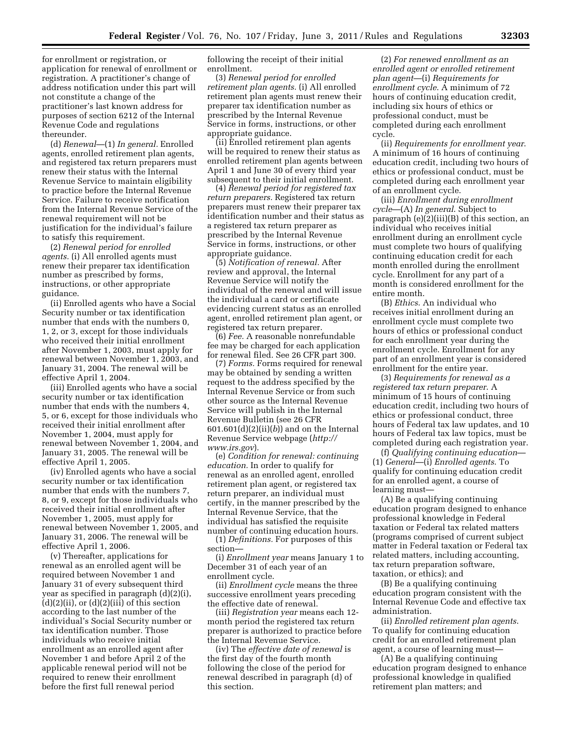for enrollment or registration, or application for renewal of enrollment or registration. A practitioner's change of address notification under this part will not constitute a change of the practitioner's last known address for purposes of section 6212 of the Internal Revenue Code and regulations thereunder.

(d) *Renewal*—(1) *In general.* Enrolled agents, enrolled retirement plan agents, and registered tax return preparers must renew their status with the Internal Revenue Service to maintain eligibility to practice before the Internal Revenue Service. Failure to receive notification from the Internal Revenue Service of the renewal requirement will not be justification for the individual's failure to satisfy this requirement.

(2) *Renewal period for enrolled agents.* (i) All enrolled agents must renew their preparer tax identification number as prescribed by forms, instructions, or other appropriate guidance.

(ii) Enrolled agents who have a Social Security number or tax identification number that ends with the numbers 0, 1, 2, or 3, except for those individuals who received their initial enrollment after November 1, 2003, must apply for renewal between November 1, 2003, and January 31, 2004. The renewal will be effective April 1, 2004.

(iii) Enrolled agents who have a social security number or tax identification number that ends with the numbers 4, 5, or 6, except for those individuals who received their initial enrollment after November 1, 2004, must apply for renewal between November 1, 2004, and January 31, 2005. The renewal will be effective April 1, 2005.

(iv) Enrolled agents who have a social security number or tax identification number that ends with the numbers 7, 8, or 9, except for those individuals who received their initial enrollment after November 1, 2005, must apply for renewal between November 1, 2005, and January 31, 2006. The renewal will be effective April 1, 2006.

(v) Thereafter, applications for renewal as an enrolled agent will be required between November 1 and January 31 of every subsequent third year as specified in paragraph (d)(2)(i),  $(d)(2)(ii)$ , or  $(d)(2)(iii)$  of this section according to the last number of the individual's Social Security number or tax identification number. Those individuals who receive initial enrollment as an enrolled agent after November 1 and before April 2 of the applicable renewal period will not be required to renew their enrollment before the first full renewal period

following the receipt of their initial enrollment.

(3) *Renewal period for enrolled retirement plan agents.* (i) All enrolled retirement plan agents must renew their preparer tax identification number as prescribed by the Internal Revenue Service in forms, instructions, or other appropriate guidance.

(ii) Enrolled retirement plan agents will be required to renew their status as enrolled retirement plan agents between April 1 and June 30 of every third year subsequent to their initial enrollment.

(4) *Renewal period for registered tax return preparers.* Registered tax return preparers must renew their preparer tax identification number and their status as a registered tax return preparer as prescribed by the Internal Revenue Service in forms, instructions, or other appropriate guidance.

(5) *Notification of renewal.* After review and approval, the Internal Revenue Service will notify the individual of the renewal and will issue the individual a card or certificate evidencing current status as an enrolled agent, enrolled retirement plan agent, or registered tax return preparer.

(6) *Fee.* A reasonable nonrefundable fee may be charged for each application for renewal filed. See 26 CFR part 300.

(7) *Forms.* Forms required for renewal may be obtained by sending a written request to the address specified by the Internal Revenue Service or from such other source as the Internal Revenue Service will publish in the Internal Revenue Bulletin (see 26 CFR 601.601(d)(2)(ii)(*b*)) and on the Internal Revenue Service webpage (*[http://](http://www.irs.gov)  [www.irs.gov](http://www.irs.gov)*).

(e) *Condition for renewal: continuing education.* In order to qualify for renewal as an enrolled agent, enrolled retirement plan agent, or registered tax return preparer, an individual must certify, in the manner prescribed by the Internal Revenue Service, that the individual has satisfied the requisite number of continuing education hours.

(1) *Definitions.* For purposes of this section—

(i) *Enrollment year* means January 1 to December 31 of each year of an enrollment cycle.

(ii) *Enrollment cycle* means the three successive enrollment years preceding the effective date of renewal.

(iii) *Registration year* means each 12 month period the registered tax return preparer is authorized to practice before the Internal Revenue Service.

(iv) The *effective date of renewal* is the first day of the fourth month following the close of the period for renewal described in paragraph (d) of this section.

(2) *For renewed enrollment as an enrolled agent or enrolled retirement plan agent*—(i) *Requirements for enrollment cycle*. A minimum of 72 hours of continuing education credit, including six hours of ethics or professional conduct, must be completed during each enrollment cycle.

(ii) *Requirements for enrollment year*. A minimum of 16 hours of continuing education credit, including two hours of ethics or professional conduct, must be completed during each enrollment year of an enrollment cycle.

(iii) *Enrollment during enrollment cycle*—(A) *In general*. Subject to paragraph (e)(2)(iii)(B) of this section, an individual who receives initial enrollment during an enrollment cycle must complete two hours of qualifying continuing education credit for each month enrolled during the enrollment cycle. Enrollment for any part of a month is considered enrollment for the entire month.

(B) *Ethics*. An individual who receives initial enrollment during an enrollment cycle must complete two hours of ethics or professional conduct for each enrollment year during the enrollment cycle. Enrollment for any part of an enrollment year is considered enrollment for the entire year.

(3) *Requirements for renewal as a registered tax return preparer*. A minimum of 15 hours of continuing education credit, including two hours of ethics or professional conduct, three hours of Federal tax law updates, and 10 hours of Federal tax law topics, must be completed during each registration year.

(f) *Qualifying continuing education*— (1) *General*—(i) *Enrolled agents*. To qualify for continuing education credit for an enrolled agent, a course of learning must—

(A) Be a qualifying continuing education program designed to enhance professional knowledge in Federal taxation or Federal tax related matters (programs comprised of current subject matter in Federal taxation or Federal tax related matters, including accounting, tax return preparation software, taxation, or ethics); and

(B) Be a qualifying continuing education program consistent with the Internal Revenue Code and effective tax administration.

(ii) *Enrolled retirement plan agents*. To qualify for continuing education credit for an enrolled retirement plan agent, a course of learning must—

(A) Be a qualifying continuing education program designed to enhance professional knowledge in qualified retirement plan matters; and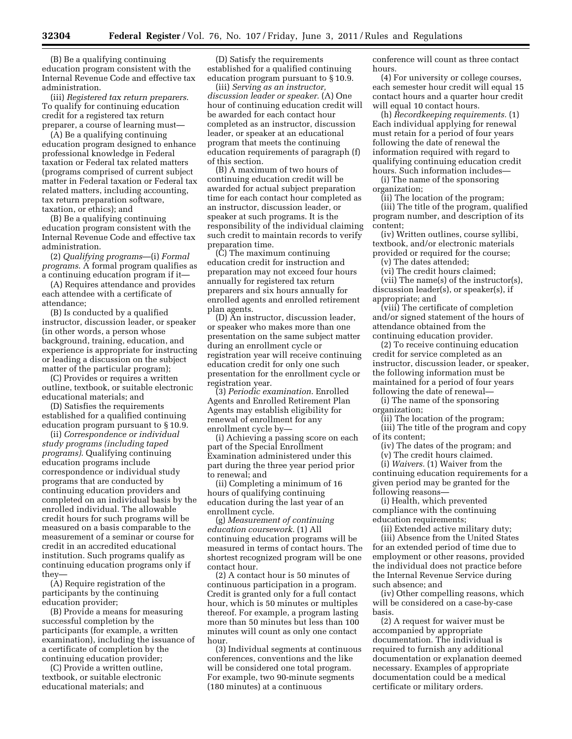(B) Be a qualifying continuing education program consistent with the Internal Revenue Code and effective tax administration.

(iii) *Registered tax return preparers*. To qualify for continuing education credit for a registered tax return preparer, a course of learning must—

(A) Be a qualifying continuing education program designed to enhance professional knowledge in Federal taxation or Federal tax related matters (programs comprised of current subject matter in Federal taxation or Federal tax related matters, including accounting, tax return preparation software, taxation, or ethics); and

(B) Be a qualifying continuing education program consistent with the Internal Revenue Code and effective tax administration.

(2) *Qualifying programs*—(i) *Formal programs*. A formal program qualifies as a continuing education program if it—

(A) Requires attendance and provides each attendee with a certificate of attendance;

(B) Is conducted by a qualified instructor, discussion leader, or speaker (in other words, a person whose background, training, education, and experience is appropriate for instructing or leading a discussion on the subject matter of the particular program);

(C) Provides or requires a written outline, textbook, or suitable electronic educational materials; and

(D) Satisfies the requirements established for a qualified continuing education program pursuant to § 10.9.

(ii) *Correspondence or individual study programs (including taped programs)*. Qualifying continuing education programs include correspondence or individual study programs that are conducted by continuing education providers and completed on an individual basis by the enrolled individual. The allowable credit hours for such programs will be measured on a basis comparable to the measurement of a seminar or course for credit in an accredited educational institution. Such programs qualify as continuing education programs only if they—

(A) Require registration of the participants by the continuing education provider;

(B) Provide a means for measuring successful completion by the participants (for example, a written examination), including the issuance of a certificate of completion by the continuing education provider;

(C) Provide a written outline, textbook, or suitable electronic educational materials; and

(D) Satisfy the requirements established for a qualified continuing education program pursuant to § 10.9.

(iii) *Serving as an instructor, discussion leader or speaker.* (A) One hour of continuing education credit will be awarded for each contact hour completed as an instructor, discussion leader, or speaker at an educational program that meets the continuing education requirements of paragraph (f) of this section.

(B) A maximum of two hours of continuing education credit will be awarded for actual subject preparation time for each contact hour completed as an instructor, discussion leader, or speaker at such programs. It is the responsibility of the individual claiming such credit to maintain records to verify preparation time.

(C) The maximum continuing education credit for instruction and preparation may not exceed four hours annually for registered tax return preparers and six hours annually for enrolled agents and enrolled retirement plan agents.

(D) An instructor, discussion leader, or speaker who makes more than one presentation on the same subject matter during an enrollment cycle or registration year will receive continuing education credit for only one such presentation for the enrollment cycle or registration year.

(3) *Periodic examination*. Enrolled Agents and Enrolled Retirement Plan Agents may establish eligibility for renewal of enrollment for any enrollment cycle by—

(i) Achieving a passing score on each part of the Special Enrollment Examination administered under this part during the three year period prior to renewal; and

(ii) Completing a minimum of 16 hours of qualifying continuing education during the last year of an enrollment cycle.

(g) *Measurement of continuing education coursework.* (1) All continuing education programs will be measured in terms of contact hours. The shortest recognized program will be one contact hour.

(2) A contact hour is 50 minutes of continuous participation in a program. Credit is granted only for a full contact hour, which is 50 minutes or multiples thereof. For example, a program lasting more than 50 minutes but less than 100 minutes will count as only one contact hour.

(3) Individual segments at continuous conferences, conventions and the like will be considered one total program. For example, two 90-minute segments (180 minutes) at a continuous

conference will count as three contact hours.

(4) For university or college courses, each semester hour credit will equal 15 contact hours and a quarter hour credit will equal 10 contact hours.

(h) *Recordkeeping requirements.* (1) Each individual applying for renewal must retain for a period of four years following the date of renewal the information required with regard to qualifying continuing education credit hours. Such information includes—

(i) The name of the sponsoring organization;

(ii) The location of the program;

(iii) The title of the program, qualified program number, and description of its content;

(iv) Written outlines, course syllibi, textbook, and/or electronic materials provided or required for the course;

(v) The dates attended;

(vi) The credit hours claimed;

(vii) The name(s) of the instructor(s), discussion leader(s), or speaker(s), if appropriate; and

(viii) The certificate of completion and/or signed statement of the hours of attendance obtained from the continuing education provider.

(2) To receive continuing education credit for service completed as an instructor, discussion leader, or speaker, the following information must be maintained for a period of four years following the date of renewal—

(i) The name of the sponsoring organization;

(ii) The location of the program;

(iii) The title of the program and copy of its content;

(iv) The dates of the program; and

(v) The credit hours claimed.

(i) *Waivers.* (1) Waiver from the continuing education requirements for a given period may be granted for the following reasons—

(i) Health, which prevented compliance with the continuing education requirements;

(ii) Extended active military duty; (iii) Absence from the United States for an extended period of time due to employment or other reasons, provided the individual does not practice before the Internal Revenue Service during such absence; and

(iv) Other compelling reasons, which will be considered on a case-by-case basis.

(2) A request for waiver must be accompanied by appropriate documentation. The individual is required to furnish any additional documentation or explanation deemed necessary. Examples of appropriate documentation could be a medical certificate or military orders.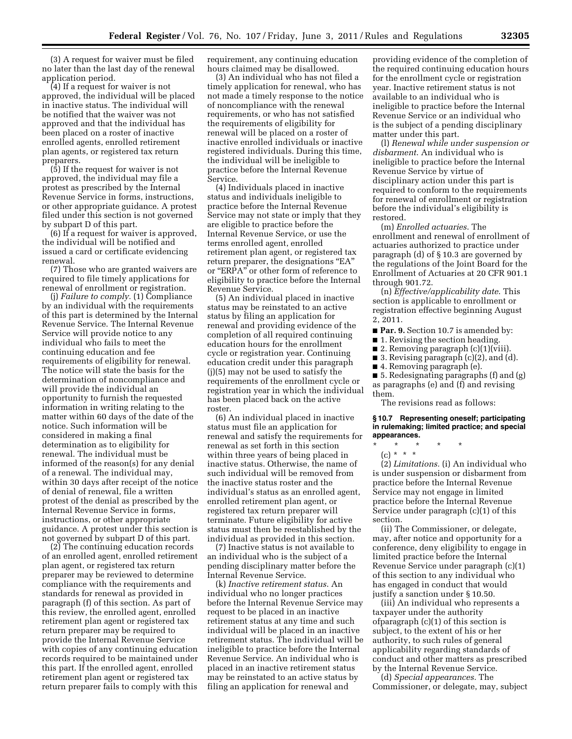(3) A request for waiver must be filed no later than the last day of the renewal application period.

(4) If a request for waiver is not approved, the individual will be placed in inactive status. The individual will be notified that the waiver was not approved and that the individual has been placed on a roster of inactive enrolled agents, enrolled retirement plan agents, or registered tax return preparers.

(5) If the request for waiver is not approved, the individual may file a protest as prescribed by the Internal Revenue Service in forms, instructions, or other appropriate guidance. A protest filed under this section is not governed by subpart D of this part.

(6) If a request for waiver is approved, the individual will be notified and issued a card or certificate evidencing renewal.

(7) Those who are granted waivers are required to file timely applications for renewal of enrollment or registration.

(j) *Failure to comply.* (1) Compliance by an individual with the requirements of this part is determined by the Internal Revenue Service. The Internal Revenue Service will provide notice to any individual who fails to meet the continuing education and fee requirements of eligibility for renewal. The notice will state the basis for the determination of noncompliance and will provide the individual an opportunity to furnish the requested information in writing relating to the matter within 60 days of the date of the notice. Such information will be considered in making a final determination as to eligibility for renewal. The individual must be informed of the reason(s) for any denial of a renewal. The individual may, within 30 days after receipt of the notice of denial of renewal, file a written protest of the denial as prescribed by the Internal Revenue Service in forms, instructions, or other appropriate guidance. A protest under this section is not governed by subpart D of this part.

(2) The continuing education records of an enrolled agent, enrolled retirement plan agent, or registered tax return preparer may be reviewed to determine compliance with the requirements and standards for renewal as provided in paragraph (f) of this section. As part of this review, the enrolled agent, enrolled retirement plan agent or registered tax return preparer may be required to provide the Internal Revenue Service with copies of any continuing education records required to be maintained under this part. If the enrolled agent, enrolled retirement plan agent or registered tax return preparer fails to comply with this

requirement, any continuing education hours claimed may be disallowed.

(3) An individual who has not filed a timely application for renewal, who has not made a timely response to the notice of noncompliance with the renewal requirements, or who has not satisfied the requirements of eligibility for renewal will be placed on a roster of inactive enrolled individuals or inactive registered individuals. During this time, the individual will be ineligible to practice before the Internal Revenue Service.

(4) Individuals placed in inactive status and individuals ineligible to practice before the Internal Revenue Service may not state or imply that they are eligible to practice before the Internal Revenue Service, or use the terms enrolled agent, enrolled retirement plan agent, or registered tax return preparer, the designations "EA" or ''ERPA'' or other form of reference to eligibility to practice before the Internal Revenue Service.

(5) An individual placed in inactive status may be reinstated to an active status by filing an application for renewal and providing evidence of the completion of all required continuing education hours for the enrollment cycle or registration year. Continuing education credit under this paragraph (j)(5) may not be used to satisfy the requirements of the enrollment cycle or registration year in which the individual has been placed back on the active roster.

(6) An individual placed in inactive status must file an application for renewal and satisfy the requirements for renewal as set forth in this section within three years of being placed in inactive status. Otherwise, the name of such individual will be removed from the inactive status roster and the individual's status as an enrolled agent, enrolled retirement plan agent, or registered tax return preparer will terminate. Future eligibility for active status must then be reestablished by the individual as provided in this section.

(7) Inactive status is not available to an individual who is the subject of a pending disciplinary matter before the Internal Revenue Service.

(k) *Inactive retirement status*. An individual who no longer practices before the Internal Revenue Service may request to be placed in an inactive retirement status at any time and such individual will be placed in an inactive retirement status. The individual will be ineligible to practice before the Internal Revenue Service. An individual who is placed in an inactive retirement status may be reinstated to an active status by filing an application for renewal and

providing evidence of the completion of the required continuing education hours for the enrollment cycle or registration year. Inactive retirement status is not available to an individual who is ineligible to practice before the Internal Revenue Service or an individual who is the subject of a pending disciplinary matter under this part.

(l) *Renewal while under suspension or disbarment*. An individual who is ineligible to practice before the Internal Revenue Service by virtue of disciplinary action under this part is required to conform to the requirements for renewal of enrollment or registration before the individual's eligibility is restored.

(m) *Enrolled actuaries*. The enrollment and renewal of enrollment of actuaries authorized to practice under paragraph (d) of § 10.3 are governed by the regulations of the Joint Board for the Enrollment of Actuaries at 20 CFR 901.1 through 901.72.

(n) *Effective/applicability date*. This section is applicable to enrollment or registration effective beginning August 2, 2011.

- **Par. 9.** Section 10.7 is amended by:
- 1. Revising the section heading.
- 2. Removing paragraph (c)(1)(viii).
- 3. Revising paragraph (c)(2), and (d).
- 4. Removing paragraph (e).

■ 5. Redesignating paragraphs (f) and (g) as paragraphs (e) and (f) and revising them.

The revisions read as follows:

#### **§ 10.7 Representing oneself; participating in rulemaking; limited practice; and special appearances.**

- \* \* \* \* \*
- $(c) * * * *$

(2) *Limitations.* (i) An individual who is under suspension or disbarment from practice before the Internal Revenue Service may not engage in limited practice before the Internal Revenue Service under paragraph (c)(1) of this section.

(ii) The Commissioner, or delegate, may, after notice and opportunity for a conference, deny eligibility to engage in limited practice before the Internal Revenue Service under paragraph (c)(1) of this section to any individual who has engaged in conduct that would justify a sanction under § 10.50.

(iii) An individual who represents a taxpayer under the authority ofparagraph (c)(1) of this section is subject, to the extent of his or her authority, to such rules of general applicability regarding standards of conduct and other matters as prescribed by the Internal Revenue Service.

(d) *Special appearances.* The Commissioner, or delegate, may, subject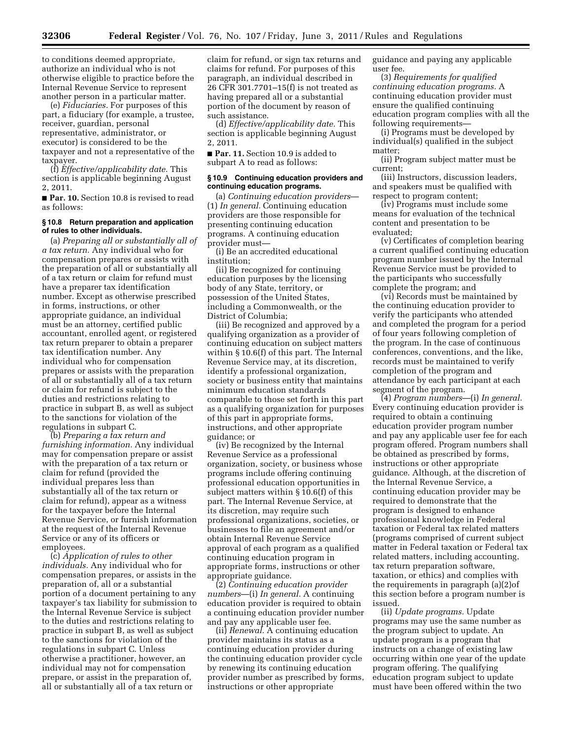to conditions deemed appropriate, authorize an individual who is not otherwise eligible to practice before the Internal Revenue Service to represent another person in a particular matter.

(e) *Fiduciaries.* For purposes of this part, a fiduciary (for example, a trustee, receiver, guardian, personal representative, administrator, or executor) is considered to be the taxpayer and not a representative of the taxpayer.

(f) *Effective/applicability date.* This section is applicable beginning August 2, 2011.

■ **Par. 10.** Section 10.8 is revised to read as follows:

#### **§ 10.8 Return preparation and application of rules to other individuals.**

(a) *Preparing all or substantially all of a tax return.* Any individual who for compensation prepares or assists with the preparation of all or substantially all of a tax return or claim for refund must have a preparer tax identification number. Except as otherwise prescribed in forms, instructions, or other appropriate guidance, an individual must be an attorney, certified public accountant, enrolled agent, or registered tax return preparer to obtain a preparer tax identification number. Any individual who for compensation prepares or assists with the preparation of all or substantially all of a tax return or claim for refund is subject to the duties and restrictions relating to practice in subpart B, as well as subject to the sanctions for violation of the regulations in subpart C.

(b) *Preparing a tax return and furnishing information.* Any individual may for compensation prepare or assist with the preparation of a tax return or claim for refund (provided the individual prepares less than substantially all of the tax return or claim for refund), appear as a witness for the taxpayer before the Internal Revenue Service, or furnish information at the request of the Internal Revenue Service or any of its officers or employees.

(c) *Application of rules to other individuals.* Any individual who for compensation prepares, or assists in the preparation of, all or a substantial portion of a document pertaining to any taxpayer's tax liability for submission to the Internal Revenue Service is subject to the duties and restrictions relating to practice in subpart B, as well as subject to the sanctions for violation of the regulations in subpart C. Unless otherwise a practitioner, however, an individual may not for compensation prepare, or assist in the preparation of, all or substantially all of a tax return or

claim for refund, or sign tax returns and claims for refund. For purposes of this paragraph, an individual described in 26 CFR 301.7701–15(f) is not treated as having prepared all or a substantial portion of the document by reason of such assistance.

(d) *Effective/applicability date.* This section is applicable beginning August 2, 2011.

■ **Par. 11.** Section 10.9 is added to subpart A to read as follows:

# **§ 10.9 Continuing education providers and continuing education programs.**

(a) *Continuing education providers*— (1) *In general.* Continuing education providers are those responsible for presenting continuing education programs. A continuing education provider must—

(i) Be an accredited educational institution;

(ii) Be recognized for continuing education purposes by the licensing body of any State, territory, or possession of the United States, including a Commonwealth, or the District of Columbia;

(iii) Be recognized and approved by a qualifying organization as a provider of continuing education on subject matters within § 10.6(f) of this part. The Internal Revenue Service may, at its discretion, identify a professional organization, society or business entity that maintains minimum education standards comparable to those set forth in this part as a qualifying organization for purposes of this part in appropriate forms, instructions, and other appropriate guidance; or

(iv) Be recognized by the Internal Revenue Service as a professional organization, society, or business whose programs include offering continuing professional education opportunities in subject matters within § 10.6(f) of this part. The Internal Revenue Service, at its discretion, may require such professional organizations, societies, or businesses to file an agreement and/or obtain Internal Revenue Service approval of each program as a qualified continuing education program in appropriate forms, instructions or other appropriate guidance.

(2) *Continuing education provider numbers*—(i) *In general.* A continuing education provider is required to obtain a continuing education provider number and pay any applicable user fee.

(ii) *Renewal.* A continuing education provider maintains its status as a continuing education provider during the continuing education provider cycle by renewing its continuing education provider number as prescribed by forms, instructions or other appropriate

guidance and paying any applicable user fee.

(3) *Requirements for qualified continuing education programs.* A continuing education provider must ensure the qualified continuing education program complies with all the following requirements—

(i) Programs must be developed by individual(s) qualified in the subject matter;

(ii) Program subject matter must be current;

(iii) Instructors, discussion leaders, and speakers must be qualified with respect to program content;

(iv) Programs must include some means for evaluation of the technical content and presentation to be evaluated;

(v) Certificates of completion bearing a current qualified continuing education program number issued by the Internal Revenue Service must be provided to the participants who successfully complete the program; and

(vi) Records must be maintained by the continuing education provider to verify the participants who attended and completed the program for a period of four years following completion of the program. In the case of continuous conferences, conventions, and the like, records must be maintained to verify completion of the program and attendance by each participant at each segment of the program.

(4) *Program numbers*—(i) *In general.*  Every continuing education provider is required to obtain a continuing education provider program number and pay any applicable user fee for each program offered. Program numbers shall be obtained as prescribed by forms, instructions or other appropriate guidance. Although, at the discretion of the Internal Revenue Service, a continuing education provider may be required to demonstrate that the program is designed to enhance professional knowledge in Federal taxation or Federal tax related matters (programs comprised of current subject matter in Federal taxation or Federal tax related matters, including accounting, tax return preparation software, taxation, or ethics) and complies with the requirements in paragraph (a)(2)of this section before a program number is issued.

(ii) *Update programs.* Update programs may use the same number as the program subject to update. An update program is a program that instructs on a change of existing law occurring within one year of the update program offering. The qualifying education program subject to update must have been offered within the two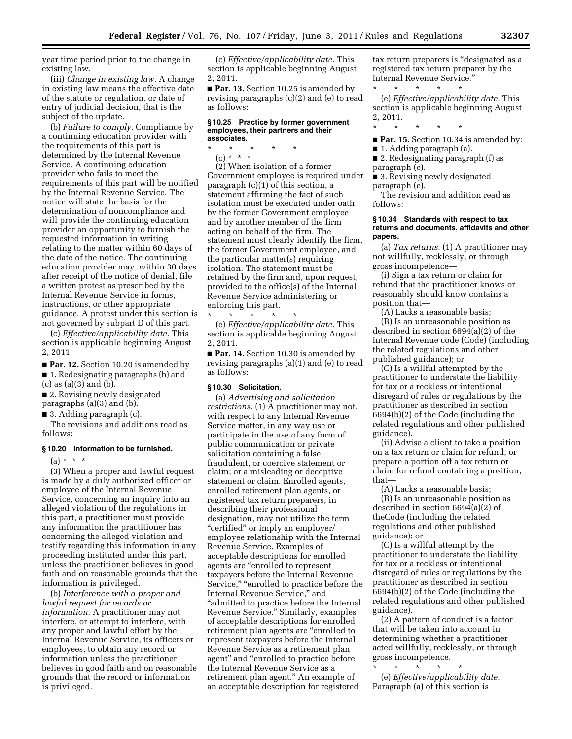year time period prior to the change in existing law.

(iii) *Change in existing law.* A change in existing law means the effective date of the statute or regulation, or date of entry of judicial decision, that is the subject of the update.

(b) *Failure to comply.* Compliance by a continuing education provider with the requirements of this part is determined by the Internal Revenue Service. A continuing education provider who fails to meet the requirements of this part will be notified by the Internal Revenue Service. The notice will state the basis for the determination of noncompliance and will provide the continuing education provider an opportunity to furnish the requested information in writing relating to the matter within 60 days of the date of the notice. The continuing education provider may, within 30 days after receipt of the notice of denial, file a written protest as prescribed by the Internal Revenue Service in forms, instructions, or other appropriate guidance. A protest under this section is not governed by subpart D of this part.

(c) *Effective/applicability date.* This section is applicable beginning August 2, 2011.

■ **Par. 12.** Section 10.20 is amended by ■ 1. Redesignating paragraphs (b) and (c) as (a)(3) and (b).

■ 2. Revising newly designated paragraphs (a)(3) and (b).

■ 3. Adding paragraph (c).

The revisions and additions read as follows:

#### **§ 10.20 Information to be furnished.**

 $(a) * * * *$ 

(3) When a proper and lawful request is made by a duly authorized officer or employee of the Internal Revenue Service, concerning an inquiry into an alleged violation of the regulations in this part, a practitioner must provide any information the practitioner has concerning the alleged violation and testify regarding this information in any proceeding instituted under this part, unless the practitioner believes in good faith and on reasonable grounds that the information is privileged.

(b) *Interference with a proper and lawful request for records or information.* A practitioner may not interfere, or attempt to interfere, with any proper and lawful effort by the Internal Revenue Service, its officers or employees, to obtain any record or information unless the practitioner believes in good faith and on reasonable grounds that the record or information is privileged.

(c) *Effective/applicability date.* This section is applicable beginning August 2, 2011.

■ **Par. 13.** Section 10.25 is amended by revising paragraphs (c)(2) and (e) to read as follows:

#### **§ 10.25 Practice by former government employees, their partners and their associates.**

\* \* \* \* \* (c) \* \* \*

(2) When isolation of a former Government employee is required under paragraph (c)(1) of this section, a statement affirming the fact of such isolation must be executed under oath by the former Government employee and by another member of the firm acting on behalf of the firm. The statement must clearly identify the firm, the former Government employee, and the particular matter(s) requiring isolation. The statement must be retained by the firm and, upon request, provided to the office(s) of the Internal Revenue Service administering or enforcing this part.

\* \* \* \* \* (e) *Effective/applicability date.* This section is applicable beginning August 2, 2011.

■ **Par. 14.** Section 10.30 is amended by revising paragraphs (a)(1) and (e) to read as follows:

# **§ 10.30 Solicitation.**

(a) *Advertising and solicitation restrictions.* (1) A practitioner may not, with respect to any Internal Revenue Service matter, in any way use or participate in the use of any form of public communication or private solicitation containing a false, fraudulent, or coercive statement or claim; or a misleading or deceptive statement or claim. Enrolled agents, enrolled retirement plan agents, or registered tax return preparers, in describing their professional designation, may not utilize the term ''certified'' or imply an employer/ employee relationship with the Internal Revenue Service. Examples of acceptable descriptions for enrolled agents are ''enrolled to represent taxpayers before the Internal Revenue Service," "enrolled to practice before the Internal Revenue Service,'' and ''admitted to practice before the Internal Revenue Service.'' Similarly, examples of acceptable descriptions for enrolled retirement plan agents are ''enrolled to represent taxpayers before the Internal Revenue Service as a retirement plan agent'' and ''enrolled to practice before the Internal Revenue Service as a retirement plan agent.'' An example of an acceptable description for registered

tax return preparers is ''designated as a registered tax return preparer by the Internal Revenue Service.''

\* \* \* \* \* (e) *Effective/applicability date.* This section is applicable beginning August 2, 2011.

\* \* \* \* \* ■ **Par. 15.** Section 10.34 is amended by:

■ 1. Adding paragraph (a).

■ 2. Redesignating paragraph (f) as paragraph (e).

■ 3. Revising newly designated paragraph (e).

The revision and addition read as follows:

#### **§ 10.34 Standards with respect to tax returns and documents, affidavits and other papers.**

(a) *Tax returns.* (1) A practitioner may not willfully, recklessly, or through gross incompetence—

(i) Sign a tax return or claim for refund that the practitioner knows or reasonably should know contains a position that—

(A) Lacks a reasonable basis; (B) Is an unreasonable position as described in section 6694(a)(2) of the Internal Revenue code (Code) (including the related regulations and other published guidance); or

(C) Is a willful attempted by the practitioner to understate the liability for tax or a reckless or intentional disregard of rules or regulations by the practitioner as described in section 6694(b)(2) of the Code (including the related regulations and other published guidance).

(ii) Advise a client to take a position on a tax return or claim for refund, or prepare a portion off a tax return or claim for refund containing a position, that—

(A) Lacks a reasonable basis; (B) Is an unreasonable position as described in section 6694(a)(2) of theCode (including the related regulations and other published guidance); or

(C) Is a willful attempt by the practitioner to understate the liability for tax or a reckless or intentional disregard of rules or regulations by the practitioner as described in section 6694(b)(2) of the Code (including the related regulations and other published guidance).

(2) A pattern of conduct is a factor that will be taken into account in determining whether a practitioner acted willfully, recklessly, or through gross incompetence.

\* \* \* \* \*

(e) *Effective/applicability date.*  Paragraph (a) of this section is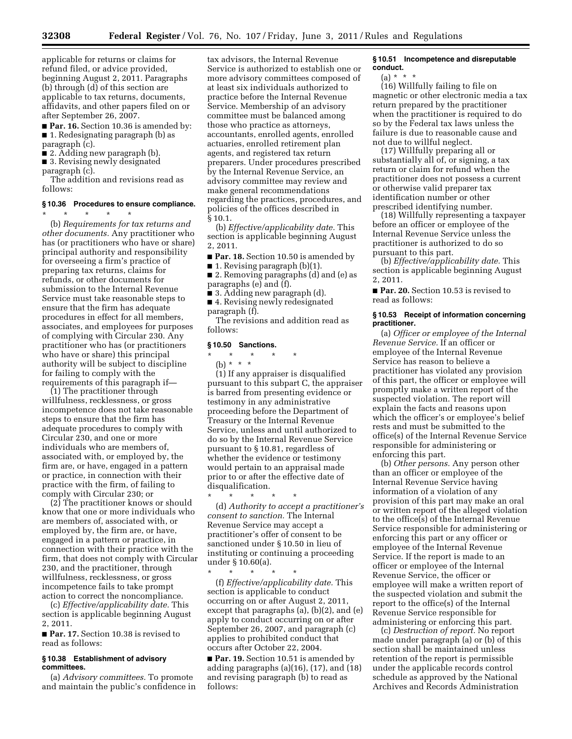applicable for returns or claims for refund filed, or advice provided, beginning August 2, 2011. Paragraphs (b) through (d) of this section are applicable to tax returns, documents, affidavits, and other papers filed on or after September 26, 2007.

■ **Par. 16.** Section 10.36 is amended by: ■ 1. Redesignating paragraph (b) as paragraph (c).

- 2. Adding new paragraph (b).
- 3. Revising newly designated

paragraph (c). The addition and revisions read as follows:

#### **§ 10.36 Procedures to ensure compliance.**

\* \* \* \* \*

(b) *Requirements for tax returns and other documents.* Any practitioner who has (or practitioners who have or share) principal authority and responsibility for overseeing a firm's practice of preparing tax returns, claims for refunds, or other documents for submission to the Internal Revenue Service must take reasonable steps to ensure that the firm has adequate procedures in effect for all members, associates, and employees for purposes of complying with Circular 230. Any practitioner who has (or practitioners who have or share) this principal authority will be subject to discipline for failing to comply with the requirements of this paragraph if—

(1) The practitioner through willfulness, recklessness, or gross incompetence does not take reasonable steps to ensure that the firm has adequate procedures to comply with Circular 230, and one or more individuals who are members of, associated with, or employed by, the firm are, or have, engaged in a pattern or practice, in connection with their practice with the firm, of failing to comply with Circular 230; or

(2) The practitioner knows or should know that one or more individuals who are members of, associated with, or employed by, the firm are, or have, engaged in a pattern or practice, in connection with their practice with the firm, that does not comply with Circular 230, and the practitioner, through willfulness, recklessness, or gross incompetence fails to take prompt action to correct the noncompliance.

(c) *Effective/applicability date.* This section is applicable beginning August 2, 2011.

■ **Par. 17.** Section 10.38 is revised to read as follows:

#### **§ 10.38 Establishment of advisory committees.**

(a) *Advisory committees.* To promote and maintain the public's confidence in

tax advisors, the Internal Revenue Service is authorized to establish one or more advisory committees composed of at least six individuals authorized to practice before the Internal Revenue Service. Membership of an advisory committee must be balanced among those who practice as attorneys, accountants, enrolled agents, enrolled actuaries, enrolled retirement plan agents, and registered tax return preparers. Under procedures prescribed by the Internal Revenue Service, an advisory committee may review and make general recommendations regarding the practices, procedures, and policies of the offices described in § 10.1.

(b) *Effective/applicability date.* This section is applicable beginning August 2, 2011.

■ **Par. 18.** Section 10.50 is amended by

■ 1. Revising paragraph (b)(1).

■ 2. Removing paragraphs (d) and (e) as paragraphs (e) and (f).

■ 3. Adding new paragraph (d).

■ 4. Revising newly redesignated paragraph (f).

The revisions and addition read as follows:

# **§ 10.50 Sanctions.**

\* \* \* \* \*

 $\star$   $\star$ (b) \* \* \*

(1) If any appraiser is disqualified pursuant to this subpart C, the appraiser is barred from presenting evidence or testimony in any administrative proceeding before the Department of Treasury or the Internal Revenue Service, unless and until authorized to do so by the Internal Revenue Service pursuant to § 10.81, regardless of whether the evidence or testimony would pertain to an appraisal made prior to or after the effective date of disqualification.

(d) *Authority to accept a practitioner's consent to sanction.* The Internal Revenue Service may accept a practitioner's offer of consent to be sanctioned under § 10.50 in lieu of instituting or continuing a proceeding under § 10.60(a).

\* \* \* \* \* (f) *Effective/applicability date.* This section is applicable to conduct occurring on or after August 2, 2011, except that paragraphs (a), (b)(2), and (e) apply to conduct occurring on or after September 26, 2007, and paragraph (c) applies to prohibited conduct that occurs after October 22, 2004.

■ **Par. 19.** Section 10.51 is amended by adding paragraphs (a)(16), (17), and (18) and revising paragraph (b) to read as follows:

# **§ 10.51 Incompetence and disreputable conduct.**

 $(a) * * * *$ 

(16) Willfully failing to file on magnetic or other electronic media a tax return prepared by the practitioner when the practitioner is required to do so by the Federal tax laws unless the failure is due to reasonable cause and not due to willful neglect.

(17) Willfully preparing all or substantially all of, or signing, a tax return or claim for refund when the practitioner does not possess a current or otherwise valid preparer tax identification number or other prescribed identifying number.

(18) Willfully representing a taxpayer before an officer or employee of the Internal Revenue Service unless the practitioner is authorized to do so pursuant to this part.

(b) *Effective/applicability date.* This section is applicable beginning August 2, 2011.

■ **Par. 20.** Section 10.53 is revised to read as follows:

# **§ 10.53 Receipt of information concerning practitioner.**

(a) *Officer or employee of the Internal Revenue Service.* If an officer or employee of the Internal Revenue Service has reason to believe a practitioner has violated any provision of this part, the officer or employee will promptly make a written report of the suspected violation. The report will explain the facts and reasons upon which the officer's or employee's belief rests and must be submitted to the office(s) of the Internal Revenue Service responsible for administering or enforcing this part.

(b) *Other persons.* Any person other than an officer or employee of the Internal Revenue Service having information of a violation of any provision of this part may make an oral or written report of the alleged violation to the office(s) of the Internal Revenue Service responsible for administering or enforcing this part or any officer or employee of the Internal Revenue Service. If the report is made to an officer or employee of the Internal Revenue Service, the officer or employee will make a written report of the suspected violation and submit the report to the office(s) of the Internal Revenue Service responsible for administering or enforcing this part.

(c) *Destruction of report.* No report made under paragraph (a) or (b) of this section shall be maintained unless retention of the report is permissible under the applicable records control schedule as approved by the National Archives and Records Administration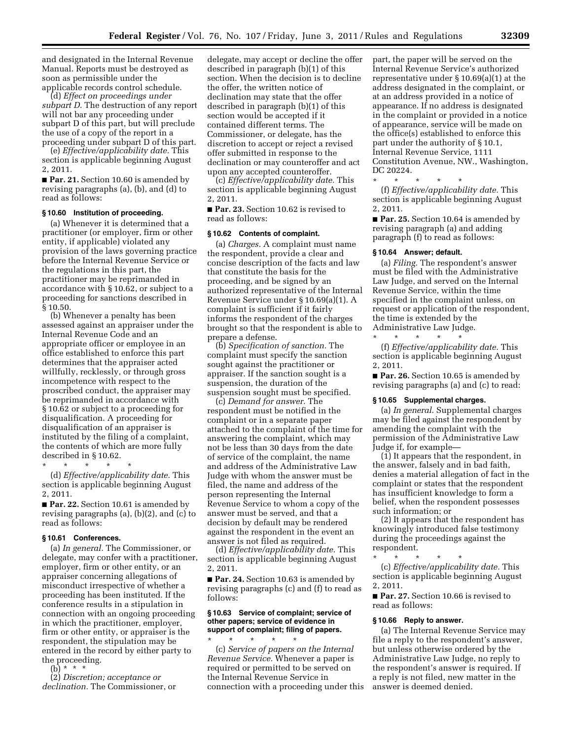and designated in the Internal Revenue Manual. Reports must be destroyed as soon as permissible under the applicable records control schedule.

(d) *Effect on proceedings under subpart D.* The destruction of any report will not bar any proceeding under subpart D of this part, but will preclude the use of a copy of the report in a proceeding under subpart D of this part.

(e) *Effective/applicability date.* This section is applicable beginning August 2, 2011.

■ **Par. 21.** Section 10.60 is amended by revising paragraphs (a), (b), and (d) to read as follows:

#### **§ 10.60 Institution of proceeding.**

(a) Whenever it is determined that a practitioner (or employer, firm or other entity, if applicable) violated any provision of the laws governing practice before the Internal Revenue Service or the regulations in this part, the practitioner may be reprimanded in accordance with § 10.62, or subject to a proceeding for sanctions described in § 10.50.

(b) Whenever a penalty has been assessed against an appraiser under the Internal Revenue Code and an appropriate officer or employee in an office established to enforce this part determines that the appraiser acted willfully, recklessly, or through gross incompetence with respect to the proscribed conduct, the appraiser may be reprimanded in accordance with § 10.62 or subject to a proceeding for disqualification. A proceeding for disqualification of an appraiser is instituted by the filing of a complaint, the contents of which are more fully described in § 10.62.

\* \* \* \* \* (d) *Effective/applicability date.* This section is applicable beginning August 2, 2011.

■ **Par. 22.** Section 10.61 is amended by revising paragraphs (a), (b)(2), and (c) to read as follows:

# **§ 10.61 Conferences.**

(a) *In general.* The Commissioner, or delegate, may confer with a practitioner, employer, firm or other entity, or an appraiser concerning allegations of misconduct irrespective of whether a proceeding has been instituted. If the conference results in a stipulation in connection with an ongoing proceeding in which the practitioner, employer, firm or other entity, or appraiser is the respondent, the stipulation may be entered in the record by either party to the proceeding.

(b) \* \* \*

(2) *Discretion; acceptance or declination.* The Commissioner, or

delegate, may accept or decline the offer described in paragraph (b)(1) of this section. When the decision is to decline the offer, the written notice of declination may state that the offer described in paragraph (b)(1) of this section would be accepted if it contained different terms. The Commissioner, or delegate, has the discretion to accept or reject a revised offer submitted in response to the declination or may counteroffer and act upon any accepted counteroffer.

(c) *Effective/applicability date.* This section is applicable beginning August 2, 2011.

■ **Par. 23.** Section 10.62 is revised to read as follows:

# **§ 10.62 Contents of complaint.**

(a) *Charges.* A complaint must name the respondent, provide a clear and concise description of the facts and law that constitute the basis for the proceeding, and be signed by an authorized representative of the Internal Revenue Service under § 10.69(a)(1). A complaint is sufficient if it fairly informs the respondent of the charges brought so that the respondent is able to prepare a defense.

(b) *Specification of sanction.* The complaint must specify the sanction sought against the practitioner or appraiser. If the sanction sought is a suspension, the duration of the suspension sought must be specified.

(c) *Demand for answer.* The respondent must be notified in the complaint or in a separate paper attached to the complaint of the time for answering the complaint, which may not be less than 30 days from the date of service of the complaint, the name and address of the Administrative Law Judge with whom the answer must be filed, the name and address of the person representing the Internal Revenue Service to whom a copy of the answer must be served, and that a decision by default may be rendered against the respondent in the event an answer is not filed as required.

(d) *Effective/applicability date.* This section is applicable beginning August 2, 2011.

■ **Par. 24.** Section 10.63 is amended by revising paragraphs (c) and (f) to read as follows:

# **§ 10.63 Service of complaint; service of other papers; service of evidence in support of complaint; filing of papers.**

\* \* \* \* \* (c) *Service of papers on the Internal Revenue Service.* Whenever a paper is required or permitted to be served on the Internal Revenue Service in connection with a proceeding under this part, the paper will be served on the Internal Revenue Service's authorized representative under § 10.69(a)(1) at the address designated in the complaint, or at an address provided in a notice of appearance. If no address is designated in the complaint or provided in a notice of appearance, service will be made on the office(s) established to enforce this part under the authority of § 10.1, Internal Revenue Service, 1111 Constitution Avenue, NW., Washington, DC 20224.

\* \* \* \* \* (f) *Effective/applicability date.* This section is applicable beginning August 2, 2011.

■ **Par. 25.** Section 10.64 is amended by revising paragraph (a) and adding paragraph (f) to read as follows:

#### **§ 10.64 Answer; default.**

(a) *Filing.* The respondent's answer must be filed with the Administrative Law Judge, and served on the Internal Revenue Service, within the time specified in the complaint unless, on request or application of the respondent, the time is extended by the Administrative Law Judge.

\* \* \* \* \*

(f) *Effective/applicability date.* This section is applicable beginning August 2, 2011.

■ **Par. 26.** Section 10.65 is amended by revising paragraphs (a) and (c) to read:

#### **§ 10.65 Supplemental charges.**

(a) *In general.* Supplemental charges may be filed against the respondent by amending the complaint with the permission of the Administrative Law Judge if, for example—

(1) It appears that the respondent, in the answer, falsely and in bad faith, denies a material allegation of fact in the complaint or states that the respondent has insufficient knowledge to form a belief, when the respondent possesses such information; or

(2) It appears that the respondent has knowingly introduced false testimony during the proceedings against the respondent.

\* \* \* \* \* (c) *Effective/applicability date.* This section is applicable beginning August 2, 2011.

■ **Par. 27.** Section 10.66 is revised to read as follows:

#### **§ 10.66 Reply to answer.**

(a) The Internal Revenue Service may file a reply to the respondent's answer, but unless otherwise ordered by the Administrative Law Judge, no reply to the respondent's answer is required. If a reply is not filed, new matter in the answer is deemed denied.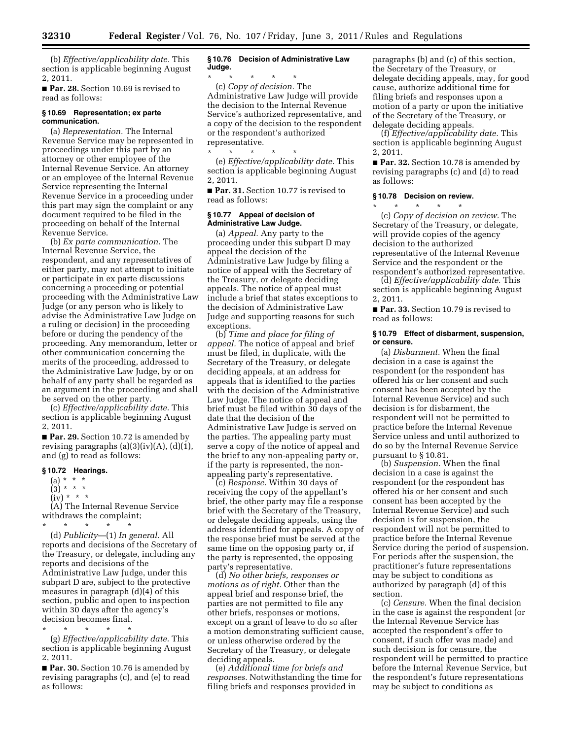(b) *Effective/applicability date.* This section is applicable beginning August 2, 2011.

■ **Par. 28.** Section 10.69 is revised to read as follows:

# **§ 10.69 Representation; ex parte communication.**

(a) *Representation.* The Internal Revenue Service may be represented in proceedings under this part by an attorney or other employee of the Internal Revenue Service. An attorney or an employee of the Internal Revenue Service representing the Internal Revenue Service in a proceeding under this part may sign the complaint or any document required to be filed in the proceeding on behalf of the Internal Revenue Service.

(b) *Ex parte communication.* The Internal Revenue Service, the respondent, and any representatives of either party, may not attempt to initiate or participate in ex parte discussions concerning a proceeding or potential proceeding with the Administrative Law Judge (or any person who is likely to advise the Administrative Law Judge on a ruling or decision) in the proceeding before or during the pendency of the proceeding. Any memorandum, letter or other communication concerning the merits of the proceeding, addressed to the Administrative Law Judge, by or on behalf of any party shall be regarded as an argument in the proceeding and shall be served on the other party.

(c) *Effective/applicability date.* This section is applicable beginning August 2, 2011.

■ **Par. 29.** Section 10.72 is amended by revising paragraphs  $(a)(3)(iv)(A)$ ,  $(d)(1)$ , and (g) to read as follows:

# **§ 10.72 Hearings.**

- $(a) * * * *$
- $(3) * * * *$
- $(iv) * * * *$

(A) The Internal Revenue Service withdraws the complaint;

\* \* \* \* \* (d) *Publicity*—(1) *In general.* All reports and decisions of the Secretary of the Treasury, or delegate, including any reports and decisions of the Administrative Law Judge, under this subpart D are, subject to the protective measures in paragraph (d)(4) of this section, public and open to inspection within 30 days after the agency's decision becomes final.

\* \* \* \* \* (g) *Effective/applicability date.* This section is applicable beginning August 2, 2011.

■ **Par. 30.** Section 10.76 is amended by revising paragraphs (c), and (e) to read as follows:

#### **§ 10.76 Decision of Administrative Law Judge.**

\* \* \* \* \* (c) *Copy of decision.* The Administrative Law Judge will provide the decision to the Internal Revenue Service's authorized representative, and a copy of the decision to the respondent or the respondent's authorized representative.

\* \* \* \* \* (e) *Effective/applicability date.* This section is applicable beginning August 2, 2011.

■ **Par. 31.** Section 10.77 is revised to read as follows:

# **§ 10.77 Appeal of decision of Administrative Law Judge.**

(a) *Appeal.* Any party to the proceeding under this subpart D may appeal the decision of the Administrative Law Judge by filing a notice of appeal with the Secretary of the Treasury, or delegate deciding appeals. The notice of appeal must include a brief that states exceptions to the decision of Administrative Law Judge and supporting reasons for such exceptions.

(b) *Time and place for filing of appeal.* The notice of appeal and brief must be filed, in duplicate, with the Secretary of the Treasury, or delegate deciding appeals, at an address for appeals that is identified to the parties with the decision of the Administrative Law Judge. The notice of appeal and brief must be filed within 30 days of the date that the decision of the Administrative Law Judge is served on the parties. The appealing party must serve a copy of the notice of appeal and the brief to any non-appealing party or, if the party is represented, the nonappealing party's representative.

(c) *Response.* Within 30 days of receiving the copy of the appellant's brief, the other party may file a response brief with the Secretary of the Treasury, or delegate deciding appeals, using the address identified for appeals. A copy of the response brief must be served at the same time on the opposing party or, if the party is represented, the opposing party's representative.

(d) *No other briefs, responses or motions as of right.* Other than the appeal brief and response brief, the parties are not permitted to file any other briefs, responses or motions, except on a grant of leave to do so after a motion demonstrating sufficient cause, or unless otherwise ordered by the Secretary of the Treasury, or delegate deciding appeals.

(e) *Additional time for briefs and responses.* Notwithstanding the time for filing briefs and responses provided in

paragraphs (b) and (c) of this section, the Secretary of the Treasury, or delegate deciding appeals, may, for good cause, authorize additional time for filing briefs and responses upon a motion of a party or upon the initiative of the Secretary of the Treasury, or delegate deciding appeals.

(f) *Effective/applicability date.* This section is applicable beginning August 2, 2011.

■ **Par. 32.** Section 10.78 is amended by revising paragraphs (c) and (d) to read as follows:

#### **§ 10.78 Decision on review.**

\* \* \* \* \*

(c) *Copy of decision on review.* The Secretary of the Treasury, or delegate, will provide copies of the agency decision to the authorized representative of the Internal Revenue Service and the respondent or the respondent's authorized representative.

(d) *Effective/applicability date.* This section is applicable beginning August 2, 2011.

■ **Par. 33.** Section 10.79 is revised to read as follows:

# **§ 10.79 Effect of disbarment, suspension, or censure.**

(a) *Disbarment.* When the final decision in a case is against the respondent (or the respondent has offered his or her consent and such consent has been accepted by the Internal Revenue Service) and such decision is for disbarment, the respondent will not be permitted to practice before the Internal Revenue Service unless and until authorized to do so by the Internal Revenue Service pursuant to § 10.81.

(b) *Suspension.* When the final decision in a case is against the respondent (or the respondent has offered his or her consent and such consent has been accepted by the Internal Revenue Service) and such decision is for suspension, the respondent will not be permitted to practice before the Internal Revenue Service during the period of suspension. For periods after the suspension, the practitioner's future representations may be subject to conditions as authorized by paragraph (d) of this section.

(c) *Censure.* When the final decision in the case is against the respondent (or the Internal Revenue Service has accepted the respondent's offer to consent, if such offer was made) and such decision is for censure, the respondent will be permitted to practice before the Internal Revenue Service, but the respondent's future representations may be subject to conditions as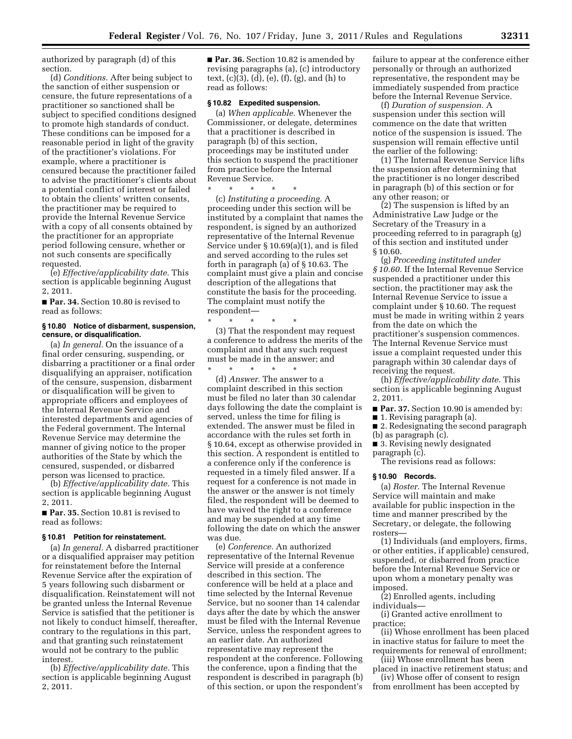authorized by paragraph (d) of this section.

(d) *Conditions.* After being subject to the sanction of either suspension or censure, the future representations of a practitioner so sanctioned shall be subject to specified conditions designed to promote high standards of conduct. These conditions can be imposed for a reasonable period in light of the gravity of the practitioner's violations. For example, where a practitioner is censured because the practitioner failed to advise the practitioner's clients about a potential conflict of interest or failed to obtain the clients' written consents, the practitioner may be required to provide the Internal Revenue Service with a copy of all consents obtained by the practitioner for an appropriate period following censure, whether or not such consents are specifically requested.

(e) *Effective/applicability date.* This section is applicable beginning August 2, 2011.

■ **Par. 34.** Section 10.80 is revised to read as follows:

#### **§ 10.80 Notice of disbarment, suspension, censure, or disqualification.**

(a) *In general.* On the issuance of a final order censuring, suspending, or disbarring a practitioner or a final order disqualifying an appraiser, notification of the censure, suspension, disbarment or disqualification will be given to appropriate officers and employees of the Internal Revenue Service and interested departments and agencies of the Federal government. The Internal Revenue Service may determine the manner of giving notice to the proper authorities of the State by which the censured, suspended, or disbarred person was licensed to practice.

(b) *Effective/applicability date.* This section is applicable beginning August 2, 2011.

■ **Par. 35.** Section 10.81 is revised to read as follows:

# **§ 10.81 Petition for reinstatement.**

(a) *In general.* A disbarred practitioner or a disqualified appraiser may petition for reinstatement before the Internal Revenue Service after the expiration of 5 years following such disbarment or disqualification. Reinstatement will not be granted unless the Internal Revenue Service is satisfied that the petitioner is not likely to conduct himself, thereafter, contrary to the regulations in this part, and that granting such reinstatement would not be contrary to the public interest.

(b) *Effective/applicability date.* This section is applicable beginning August 2, 2011.

■ **Par. 36.** Section 10.82 is amended by revising paragraphs (a), (c) introductory text, (c)(3), (d), (e), (f), (g), and (h) to read as follows:

# **§ 10.82 Expedited suspension.**

(a) *When applicable.* Whenever the Commissioner, or delegate, determines that a practitioner is described in paragraph (b) of this section, proceedings may be instituted under this section to suspend the practitioner from practice before the Internal Revenue Service.

\* \* \* \* \*

(c) *Instituting a proceeding.* A proceeding under this section will be instituted by a complaint that names the respondent, is signed by an authorized representative of the Internal Revenue Service under § 10.69(a)(1), and is filed and served according to the rules set forth in paragraph (a) of § 10.63. The complaint must give a plain and concise description of the allegations that constitute the basis for the proceeding. The complaint must notify the respondent—

\* \* \* \* \* (3) That the respondent may request a conference to address the merits of the complaint and that any such request must be made in the answer; and \* \* \* \* \*

(d) *Answer.* The answer to a complaint described in this section must be filed no later than 30 calendar days following the date the complaint is served, unless the time for filing is extended. The answer must be filed in accordance with the rules set forth in § 10.64, except as otherwise provided in this section. A respondent is entitled to a conference only if the conference is requested in a timely filed answer. If a request for a conference is not made in the answer or the answer is not timely filed, the respondent will be deemed to have waived the right to a conference and may be suspended at any time following the date on which the answer was due.

(e) *Conference.* An authorized representative of the Internal Revenue Service will preside at a conference described in this section. The conference will be held at a place and time selected by the Internal Revenue Service, but no sooner than 14 calendar days after the date by which the answer must be filed with the Internal Revenue Service, unless the respondent agrees to an earlier date. An authorized representative may represent the respondent at the conference. Following the conference, upon a finding that the respondent is described in paragraph (b) of this section, or upon the respondent's

failure to appear at the conference either personally or through an authorized representative, the respondent may be immediately suspended from practice before the Internal Revenue Service.

(f) *Duration of suspension.* A suspension under this section will commence on the date that written notice of the suspension is issued. The suspension will remain effective until the earlier of the following:

(1) The Internal Revenue Service lifts the suspension after determining that the practitioner is no longer described in paragraph (b) of this section or for any other reason; or

(2) The suspension is lifted by an Administrative Law Judge or the Secretary of the Treasury in a proceeding referred to in paragraph (g) of this section and instituted under § 10.60.

(g) *Proceeding instituted under § 10.60.* If the Internal Revenue Service suspended a practitioner under this section, the practitioner may ask the Internal Revenue Service to issue a complaint under § 10.60. The request must be made in writing within 2 years from the date on which the practitioner's suspension commences. The Internal Revenue Service must issue a complaint requested under this paragraph within 30 calendar days of receiving the request.

(h) *Effective/applicability date.* This section is applicable beginning August 2, 2011.

■ **Par. 37.** Section 10.90 is amended by:

■ 1. Revising paragraph (a).

■ 2. Redesignating the second paragraph (b) as paragraph (c).

■ 3. Revising newly designated paragraph (c).

The revisions read as follows:

# **§ 10.90 Records.**

(a) *Roster.* The Internal Revenue Service will maintain and make available for public inspection in the time and manner prescribed by the Secretary, or delegate, the following rosters—

(1) Individuals (and employers, firms, or other entities, if applicable) censured, suspended, or disbarred from practice before the Internal Revenue Service or upon whom a monetary penalty was imposed.

(2) Enrolled agents, including individuals—

(i) Granted active enrollment to practice;

(ii) Whose enrollment has been placed in inactive status for failure to meet the requirements for renewal of enrollment;

(iii) Whose enrollment has been placed in inactive retirement status; and

(iv) Whose offer of consent to resign from enrollment has been accepted by